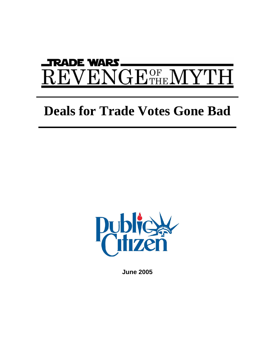# DE WARS PА  ${\rm ENGE^{OF}_{THE}}$   ${\rm N}$

# **Deals for Trade Votes Gone Bad**



**June 2005**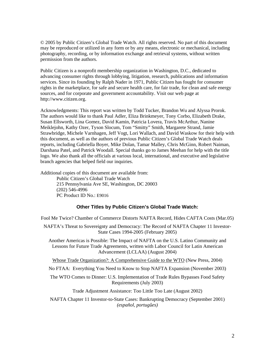© 2005 by Public Citizen's Global Trade Watch. All rights reserved. No part of this document may be reproduced or utilized in any form or by any means, electronic or mechanical, including photography, recording, or by information exchange and retrieval systems, without written permission from the authors.

Public Citizen is a nonprofit membership organization in Washington, D.C., dedicated to advancing consumer rights through lobbying, litigation, research, publications and information services. Since its founding by Ralph Nader in 1971, Public Citizen has fought for consumer rights in the marketplace, for safe and secure health care, for fair trade, for clean and safe energy sources, and for corporate and government accountability. Visit our web page at http://www.citizen.org.

Acknowledgments: This report was written by Todd Tucker, Brandon Wu and Alyssa Prorok. The authors would like to thank Paul Adler, Eliza Brinkmeyer, Tony Corbo, Elizabeth Drake, Susan Ellsworth, Lina Gomez, David Kamin, Patricia Lovera, Travis McArthur, Nanine Meiklejohn, Kathy Ozer, Tyson Slocum, Tom "Smitty" Smith, Margarete Strand, Jamie Strawbridge, Michele Varnhagen, Jeff Vogt, Lori Wallach, and David Waskow for their help with this document, as well as the authors of previous Public Citizen's Global Trade Watch deals reports, including Gabriella Boyer, Mike Dolan, Tamar Malley, Chris McGinn, Robert Naiman, Darshana Patel, and Patrick Woodall. Special thanks go to James Meehan for help with the title logo. We also thank all the officials at various local, international, and executive and legislative branch agencies that helped field our inquiries.

Additional copies of this document are available from:

Public Citizen's Global Trade Watch 215 Pennsylvania Ave SE, Washington, DC 20003 (202) 546-4996 PC Product ID No.: E9016

#### **Other Titles by Public Citizen's Global Trade Watch:**

Fool Me Twice? Chamber of Commerce Distorts NAFTA Record, Hides CAFTA Costs (Mar.05)

NAFTA's Threat to Sovereignty and Democracy: The Record of NAFTA Chapter 11 Investor-State Cases 1994-2005 (February 2005)

Another Americas is Possible: The Impact of NAFTA on the U.S. Latino Community and Lessons for Future Trade Agreements, written with Labor Council for Latin American Advancement (LCLAA) (August 2004)

Whose Trade Organization?: A Comprehensive Guide to the WTO (New Press, 2004)

No FTAA: Everything You Need to Know to Stop NAFTA Expansion (November 2003)

The WTO Comes to Dinner: U.S. Implementation of Trade Rules Bypasses Food Safety Requirements (July 2003)

Trade Adjustment Assistance: Too Little Too Late (August 2002)

NAFTA Chapter 11 Investor-to-State Cases: Bankrupting Democracy (September 2001) *(español, portugûes)*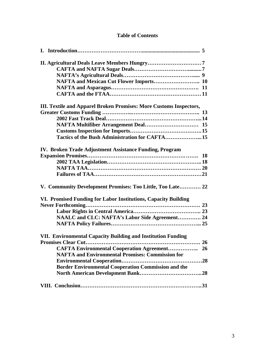# **Table of Contents**

| NAFTA and Mexican Cut Flower Imports 10                            |  |
|--------------------------------------------------------------------|--|
|                                                                    |  |
|                                                                    |  |
| III. Textile and Apparel Broken Promises: More Customs Inspectors, |  |
|                                                                    |  |
|                                                                    |  |
|                                                                    |  |
|                                                                    |  |
| Tactics of the Bush Administration for CAFTA15                     |  |
|                                                                    |  |
| IV. Broken Trade Adjustment Assistance Funding, Program            |  |
|                                                                    |  |
|                                                                    |  |
|                                                                    |  |
|                                                                    |  |
| V. Community Development Promises: Too Little, Too Late 22         |  |
| VI. Promised Funding for Labor Institutions, Capacity Building     |  |
|                                                                    |  |
|                                                                    |  |
| NAALC and CLC: NAFTA's Labor Side Agreement 24                     |  |
|                                                                    |  |
| VII. Environmental Capacity Building and Institution Funding       |  |
|                                                                    |  |
| <b>CAFTA Environmental Cooperation Agreement 26</b>                |  |
| <b>NAFTA and Environmental Promises: Commission for</b>            |  |
|                                                                    |  |
|                                                                    |  |
|                                                                    |  |
| <b>Border Environmental Cooperation Commission and the</b>         |  |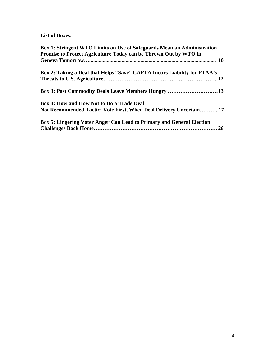# **List of Boxes:**

| <b>Box 1: Stringent WTO Limits on Use of Safeguards Mean an Administration</b> |
|--------------------------------------------------------------------------------|
| Promise to Protect Agriculture Today can be Thrown Out by WTO in               |
|                                                                                |
| Box 2: Taking a Deal that Helps "Save" CAFTA Incurs Liability for FTAA's       |
|                                                                                |
| Box 3: Past Commodity Deals Leave Members Hungry 13                            |
| Box 4: How and How Not to Do a Trade Deal                                      |
| Not Recommended Tactic: Vote First, When Deal Delivery Uncertain17             |
| Box 5: Lingering Voter Anger Can Lead to Primary and General Election          |
|                                                                                |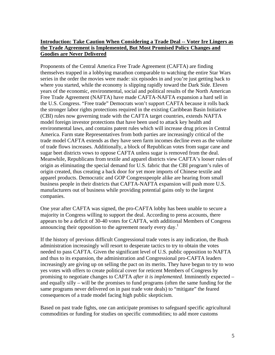# **Introduction: Take Caution When Considering a Trade Deal -- Voter Ire Lingers as the Trade Agreement is Implemented, But Most Promised Policy Changes and Goodies are Never Delivered**

Proponents of the Central America Free Trade Agreement (CAFTA) are finding themselves trapped in a lobbying marathon comparable to watching the entire Star Wars series in the order the movies were made: six episodes in and you're just getting back to where you started, while the economy is slipping rapidly toward the Dark Side. Eleven years of the economic, environmental, social and political results of the North American Free Trade Agreement (NAFTA) have made CAFTA-NAFTA expansion a hard sell in the U.S. Congress. "Free trade" Democrats won't support CAFTA because it rolls back the stronger labor rights protections required in the existing Caribbean Basin Initiative (CBI) rules now governing trade with the CAFTA target countries, extends NAFTA model foreign investor protections that have been used to attack key health and environmental laws, and contains patent rules which will increase drug prices in Central America. Farm state Representatives from both parties are increasingly critical of the trade model CAFTA extends as they have seen farm incomes decline even as the volume of trade flows increases. Additionally, a block of Republican votes from sugar cane and sugar beet districts vows to oppose CAFTA unless sugar is removed from the deal. Meanwhile, Republicans from textile and apparel districts view CAFTA's looser rules of origin as eliminating the special demand for U.S. fabric that the CBI program's rules of origin created, thus creating a back door for yet more imports of Chinese textile and apparel products. Democratic and GOP Congresspeople alike are hearing from small business people in their districts that CAFTA-NAFTA expansion will push more U.S. manufacturers out of business while providing potential gains only to the largest companies.

One year after CAFTA was signed, the pro-CAFTA lobby has been unable to secure a majority in Congress willing to support the deal. According to press accounts, there appears to be a deficit of 30-40 votes for CAFTA, with additional Members of Congress announcing their opposition to the agreement nearly every day.<sup>[1](#page-40-0)</sup>

If the history of previous difficult Congressional trade votes is any indication, the Bush administration increasingly will resort to desperate tactics to try to obtain the votes needed to pass CAFTA. Given the significant level of U.S. public opposition to NAFTA and thus to its expansion, the administration and Congressional pro-CAFTA leaders increasingly are giving up on selling the pact on its merits. They have begun to try to woo yes votes with offers to create political cover for reticent Members of Congress by promising to negotiate changes to CAFTA *after it is implemented.* Imminently expected – and equally silly – will be the promises to fund programs (often the same funding for the same programs never delivered on in past trade vote deals) to "mitigate" the feared consequences of a trade model facing high public skepticism.

Based on past trade fights, one can anticipate promises to safeguard specific agricultural commodities or funding for studies on specific commodities; to add more customs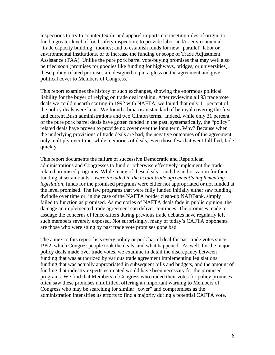inspections to try to counter textile and apparel imports not meeting rules of origin; to fund a greater level of food safety inspection; to provide labor and/or environmental "trade capacity building" monies; and to establish funds for new "parallel" labor or environmental institutions, or to increase the funding or scope of Trade Adjustment Assistance (TAA). Unlike the pure pork barrel vote-buying promises that may well also be tried soon (promises for goodies like funding for highways, bridges, or universities), these policy-related promises are designed to put a gloss on the agreement and give political cover to Members of Congress.

This report examines the history of such exchanges, showing the enormous political liability for the buyer of relying on trade deal making. After reviewing all 93 trade vote deals we could unearth starting in 1992 with NAFTA, we found that only 11 percent of the policy deals were kept. We found a bipartisan standard of betrayal covering the first and current Bush administrations and two Clinton terms. Indeed, while only 31 percent of the pure pork barrel deals have gotten funded in the past, systematically, the "policy" related deals have proven to provide no cover over the long term. Why? Because when the underlying provisions of trade deals are bad, the negative outcomes of the agreement only multiply over time, while memories of deals, even those few that went fulfilled, fade quickly.

This report documents the failure of successive Democratic and Republican administrations and Congresses to fund or otherwise effectively implement the traderelated promised programs. While many of these deals – and the authorization for their funding at set amounts – *were included in the actual trade agreement's implementing legislation*, funds for the promised programs were either not appropriated or not funded at the level promised. The few programs that were fully funded initially either saw funding dwindle over time or, in the case of the NAFTA border clean-up NADBank, simply failed to function as promised. As memories of NAFTA deals fade in public opinion, the damage an implemented trade agreement can deliver continues. The promises made to assuage the concerns of fence-sitters during previous trade debates have regularly left such members severely exposed. Not surprisingly, many of today's CAFTA opponents are those who were stung by past trade vote promises gone bad.

The annex to this report lists every policy or pork barrel deal for past trade votes since 1992, which Congresspeople took the deals, and what happened. As well, for the major policy deals made over trade votes, we examine in detail the discrepancy between funding that was authorized by various trade agreement implementing legislations, funding that was actually appropriated in subsequent bills and budgets, and the amount of funding that industry experts estimated would have been necessary for the promised programs. We find that Members of Congress who traded their votes for policy promises often saw these promises unfulfilled, offering an important warning to Members of Congress who may be searching for similar "cover" and compromises as the administration intensifies its efforts to find a majority during a potential CAFTA vote.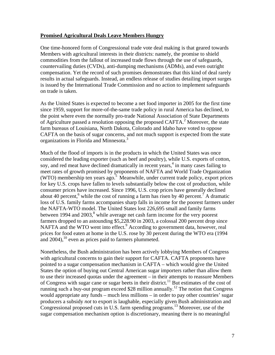#### **Promised Agricultural Deals Leave Members Hungry**

One time-honored form of Congressional trade vote deal making is that geared towards Members with agricultural interests in their districts: namely, the promise to shield commodities from the fallout of increased trade flows through the use of safeguards, countervailing duties (CVDs), anti-dumping mechanisms (ADMs), and even outright compensation. Yet the record of such promises demonstrates that this kind of deal rarely results in actual safeguards. Instead, an endless release of studies detailing import surges is issued by the International Trade Commission and no action to implement safeguards on trade is taken.

As the United States is expected to become a net food importer in 2005 for the first time since 1959, support for more-of-the-same trade policy in rural America has declined, to the point where even the normally pro-trade National Association of State Departments of Agriculture passed a resolution opposing the proposed CAFTA.<sup>[2](#page-40-1)</sup> Moreover, the state farm bureaus of Louisiana, North Dakota, Colorado and Idaho have voted to oppose CAFTA on the basis of sugar concerns, and not much support is expected from the state organizations in Florida and Minnesota.<sup>[3](#page-40-2)</sup>

Much of the flood of imports is in the products in which the United States was once considered the leading exporter (such as beef and poultry), while U.S. exports of cotton, soy, and red meat have declined dramatically in recent years,<sup>[4](#page-40-3)</sup> in many cases failing to meet rates of growth promised by proponents of NAFTA and World Trade Organization (WTO) membership ten years ago.<sup>5</sup> Meanwhile, under current trade policy, export prices for key U.S. crops have fallen to levels substantially below the cost of production, while consumer prices have increased. Since 1996, U.S. crop prices have generally declined about 40 percent,<sup>6</sup> while the cost of running a farm has risen by 40 percent.<sup>7</sup> [A](#page-40-6) dramatic loss of U.S. family farms accompanies sharp falls in income for the poorest farmers under the NAFTA-WTO model. The United States lost 226,695 small and family farms between 1994 and  $2003$ ,<sup>8</sup> while average net cash farm income for the very poorest farmers dropped to an astounding \$5,228.90 in 2003, a colossal 200 percent drop since NAFTA and the WTO went into effect.<sup>[9](#page-40-8)</sup> According to government data, however, real prices for food eaten at home in the U.S. rose by 30 percent during the WTO era (1994 and  $2004$ ,<sup>10</sup> even as prices paid to farmers plummeted.

Nonetheless, the Bush administration has been actively lobbying Members of Congress with agricultural concerns to gain their support for CAFTA. CAFTA proponents have pointed to a sugar compensation mechanism in CAFTA – which would give the United States the option of buying out Central American sugar importers rather than allow them to use their increased quotas under the agreement – in their attempts to reassure Members of Congress with sugar cane or sugar beets in their district.<sup>11</sup> But estimates of the cost of running such a buy-out program exceed \$28 million annually.<sup>12</sup> The notion that Congress would appropriate any funds – much less millions – in order to pay other countries' sugar producers a subsidy *not* to export is laughable, especially given Bush administration and Congressional proposed cuts in U.S. farm spending programs.[13 M](#page-40-12)oreover, use of the sugar compensation mechanism option is discretionary, meaning there is no meaningful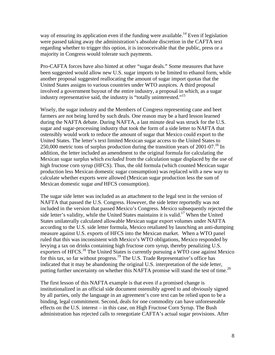way of ensuring its application even if the funding were available.<sup>14</sup> Even if legislation were passed taking away the administration's absolute discretion in the CAFTA text regarding whether to trigger this option, it is inconceivable that the public, press or a majority in Congress would tolerate such payments.

Pro-CAFTA forces have also hinted at other "sugar deals." Some measures that have been suggested would allow new U.S. sugar imports to be limited to ethanol form, while another proposal suggested reallocating the amount of sugar import quotas that the United States assigns to various countries under WTO auspices. A third proposal involved a government buyout of the entire industry, a proposal in which, as a sugar industry representative said, the industry is "totally uninterested."<sup>15</sup>

Wisely, the sugar industry and the Members of Congress representing cane and beet farmers are not being lured by such deals. One reason may be a hard lesson learned during the NAFTA debate. During NAFTA, a last minute deal was struck for the U.S. sugar and sugar-processing industry that took the form of a side letter to NAFTA that ostensibly would work to reduce the amount of sugar that Mexico could export to the United States. The letter's text limited Mexican sugar access to the United States to 250,000 metric tons of surplus production during the transition years of  $2001-07<sup>16</sup>$  In addition, the letter included an amendment to the original formula for calculating the Mexican sugar surplus which *excluded* from the calculation sugar displaced by the use of high fructose corn syrup (HFCS). Thus, the old formula (which counted Mexican sugar production less Mexican domestic sugar consumption) was replaced with a new way to calculate whether exports were allowed (Mexican sugar production less the sum of Mexican domestic sugar *and* HFCS consumption).

The sugar side letter was included as an attachment to the legal text in the version of NAFTA that passed the U.S. Congress. However, the side letter reportedly was not included in the version that passed Mexico's Congress. Mexico subsequently rejected the side letter's validity, while the United States maintains it is valid.<sup>17</sup> When the United States unilaterally calculated allowable Mexican sugar export volumes under NAFTA according to the U.S. side letter formula, Mexico retaliated by launching an anti-dumping measure against U.S. exports of HFCS into the Mexican market. When a WTO panel ruled that this was inconsistent with Mexico's WTO obligations, Mexico responded by levying a tax on drinks containing high fructose corn syrup, thereby penalizing U.S. exporters of HFCS.<sup>18</sup> The United States is currently pursuing a WTO case against Mexico for this tax, so far without progress.<sup>19</sup> The U.S. Trade Representative's office has indicated that it may be abandoning the original U.S. interpretation of the side letter, putting further uncertainty on whether this NAFTA promise will stand the test of time.<sup>20</sup>

The first lesson of this NAFTA example is that even if a promised change is institutionalized in an official side document ostensibly agreed to and obviously signed by all parties, only the language in an agreement's core text can be relied upon to be a binding, legal commitment. Second, deals for one commodity can have unforeseeable effects on the U.S. interest – in this case, on High Fructose Corn Syrup. The Bush administration has rejected calls to renegotiate CAFTA's actual sugar provisions. After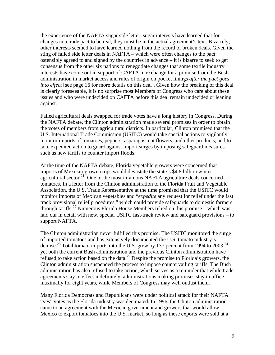the experience of the NAFTA sugar side letter, sugar interests have learned that for changes in a trade pact to be real, they must be in the actual agreement's text. Bizarrely, other interests seemed to have learned nothing from the record of broken deals. Given the sting of failed side letter deals in NAFTA – which were often changes to the pact ostensibly agreed to and signed by the countries in advance – it is bizarre to seek to get consensus from the other six nations to renegotiate changes that some textile industry interests have come out in support of CAFTA in exchange for a promise from the Bush administration in market access and rules of origin on pocket linings *after the pact goes into effect* [see page 16 for more details on this deal]. Given how the breaking of this deal is clearly foreseeable, it is no surprise most Members of Congress who care about these issues and who were undecided on CAFTA before this deal remain undecided or leaning against.

Failed agricultural deals swapped for trade votes have a long history in Congress. During the NAFTA debate, the Clinton administration made several promises in order to obtain the votes of members from agricultural districts. In particular, Clinton promised that the U.S. International Trade Commission (USITC) would take special actions to vigilantly monitor imports of tomatoes, peppers, asparagus, cut flowers, and other products, and to take expedited action to guard against import surges by imposing safeguard measures such as new tariffs to counter import floods.

At the time of the NAFTA debate, Florida vegetable growers were concerned that imports of Mexican-grown crops would devastate the state's \$4.8 billion winter agricultural sector. $21$  One of the most infamous NAFTA agriculture deals concerned tomatoes. In a letter from the Clinton administration to the Florida Fruit and Vegetable Association, the U.S. Trade Representative at the time promised that the USITC would monitor imports of Mexican vegetables and "*expedite* any request for relief under the fast track provisional relief procedures," which could provide safeguards to domestic farmers through tariffs.<sup>22</sup> Numerous Florida House Members relied on this promise – which was laid our in detail with new, special USITC fast-track review and safeguard provisions – to support NAFTA.

The Clinton administration never fulfilled this promise. The USITC monitored the surge of imported tomatoes and has extensively documented the U.S. tomato industry's demise.<sup>23</sup> Total tomato imports into the U.S. grew by 137 percent from 1994 to 2003,<sup>[24](#page-40-23)</sup> yet both the current Bush administration and the previous Clinton administration have refused to take action based on the data.<sup>25</sup> Despite the promise to Florida's growers, the Clinton administration suspended the process to impose countervailing tariffs. The Bush administration has also refused to take action, which serves as a reminder that while trade agreements stay in effect indefinitely, administrations making promises stay in office maximally for eight years, while Members of Congress may well outlast them.

Many Florida Democrats and Republicans were under political attack for their NAFTA "yes" votes as the Florida industry was decimated. In 1996, the Clinton administration came to an agreement with the Mexican government and growers that would allow Mexico to export tomatoes into the U.S. market, so long as these exports were sold at a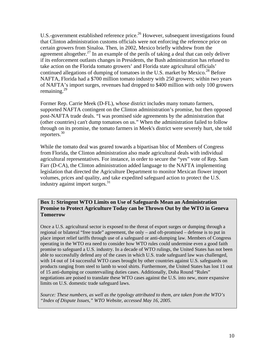U.S.-government established reference price.<sup>26</sup> However, subsequent investigations found that Clinton administration customs officials were not enforcing the reference price on certain growers from Sinaloa. Then, in 2002, Mexico briefly withdrew from the agreement altogether.<sup>27</sup> In an example of the perils of taking a deal that can only deliver if its enforcement outlasts changes in Presidents, the Bush administration has refused to take action on the Florida tomato growers' and Florida state agricultural officials' continued allegations of dumping of tomatoes in the U.S. market by Mexico.<sup>[28](#page-40-27)</sup> Before NAFTA, Florida had a \$700 million tomato industry with 250 growers; within two years of NAFTA's import surges, revenues had dropped to \$400 million with only 100 growers remaining. $29$ 

Former Rep. Carrie Meek (D-FL), whose district includes many tomato farmers, supported NAFTA contingent on the Clinton administration's promise, but then opposed post-NAFTA trade deals. "I was promised side agreements by the administration that (other countries) can't dump tomatoes on us." When the administration failed to follow through on its promise, the tomato farmers in Meek's district were severely hurt, she told reporters.[30](#page-40-29)

While the tomato deal was geared towards a bipartisan bloc of Members of Congress from Florida, the Clinton administration also made agricultural deals with individual agricultural representatives. For instance, in order to secure the "yes" vote of Rep. Sam Farr (D-CA), the Clinton administration added language to the NAFTA implementing legislation that directed the Agriculture Department to monitor Mexican flower import volumes, prices and quality, and take expedited safeguard action to protect the U.S. industry against import surges. $31$ 

**Box 1: Stringent WTO Limits on Use of Safeguards Mean an Administration Promise to Protect Agriculture Today can be Thrown Out by the WTO in Geneva Tomorrow** 

Once a U.S. agricultural sector is exposed to the threat of export surges or dumping through a regional or bilateral "free trade" agreement, the only – and oft-promised – defense is to put in place import relief tariffs through use of a safeguard or anti-dumping law. Members of Congress operating in the WTO era need to consider how WTO rules could undermine even a good faith promise to safeguard a U.S. industry. In a decade of WTO rulings, the United States has not been able to successfully defend any of the cases in which U.S. trade safeguard law was challenged, with 14 out of 14 successful WTO cases brought by other countries against U.S. safeguards on products ranging from steel to lamb to wool shirts. Furthermore, the United States has lost 11 out of 15 anti-dumping or countervailing duties cases. Additionally, Doha Round "Rules" negotiations are poised to translate these WTO cases against the U.S. into new, more expansive limits on U.S. domestic trade safeguard laws.

*Source: These numbers, as well as the typology attributed to them, are taken from the WTO's "Index of Dispute Issues," WTO Website, accessed May 16, 2005.*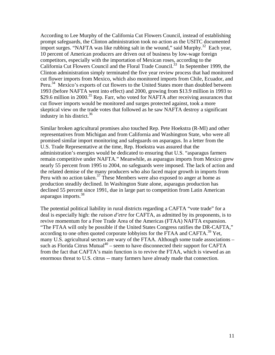According to Lee Murphy of the California Cut Flowers Council, instead of establishing prompt safeguards, the Clinton administration took no action as the USITC documented import surges. "NAFTA was like rubbing salt in the wound," said Murphy. $^{32}$  Each year, 10 percent of American producers are driven out of business by low-wage foreign competitors, especially with the importation of Mexican roses, according to the California Cut Flowers Council and the Floral Trade Council[.33](#page-40-32)In September 1999, the Clinton administration simply terminated the five year review process that had monitored cut flower imports from Mexico, which also monitored imports from Chile, Ecuador, and Peru.<sup>34</sup> Mexico's exports of cut flowers to the United States more than doubled between 1993 (before NAFTA went into effect) and 2000, growing from \$13.9 million in 1993 to \$29.6 million in 2000.<sup>35</sup> Rep. Farr, who voted for NAFTA after receiving assurances that cut flower imports would be monitored and surges protected against, took a more skeptical view on the trade votes that followed as he saw NAFTA destroy a significant industry in his district. $36$ 

Similar broken agricultural promises also touched Rep. Pete Hoekstra (R-MI) and other representatives from Michigan and from California and Washington State, who were all promised similar import monitoring and safeguards on asparagus. In a letter from the U.S. Trade Representative at the time, Rep. Hoekstra was assured that the administration's energies would be dedicated to ensuring that U.S. "asparagus farmers remain competitive under NAFTA." Meanwhile, as asparagus imports from Mexico grew nearly 55 percent from 1995 to 2004, no safeguards were imposed. The lack of action and the related demise of the many producers who also faced major growth in imports from Peru with no action taken.<sup>37</sup> These Members were also exposed to anger at home as production steadily declined. In Washington State alone, asparagus production has declined 55 percent since 1991, due in large part to competition from Latin American asparagus imports.<sup>[38](#page-40-37)</sup>

The potential political liability in rural districts regarding a CAFTA "vote trade" for a deal is especially high: the *raison d'etre* for CAFTA, as admitted by its proponents, is to revive momentum for a Free Trade Area of the Americas (FTAA) NAFTA expansion. "The FTAA will only be possible if the United States Congress ratifies the DR-CAFTA," according to one often quoted corporate lobbyists for the FTAA and CAFTA.<sup>39</sup> Yet, many U.S. agricultural sectors are wary of the FTAA. Although some trade associations – such as Florida Citrus Mutual<sup>40</sup> – seem to have disconnected their support for CAFTA from the fact that CAFTA's main function is to revive the FTAA, which is viewed as an enormous threat to U.S. citrus -- many farmers have already made that connection.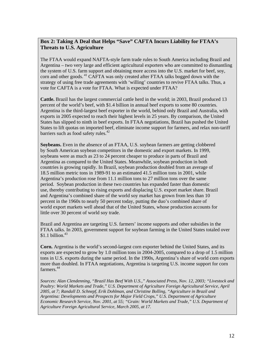# **Box 2: Taking A Deal that Helps "Save" CAFTA Incurs Liability for FTAA's Threats to U.S. Agriculture**

The FTAA would expand NAFTA-style farm trade rules to South America including Brazil and Argentina – two very large and efficient agricultural exporters who are committed to dismantling the system of U.S. farm support and obtaining more access into the U.S. market for beef, soy, corn and other goods.<sup>41</sup> CAFTA was only created after FTAA talks bogged down with the strategy of using free trade agreements with 'willing' countries to revive FTAA talks. Thus, a vote for CAFTA is a vote for FTAA. What is expected under FTAA?

**Cattle.** Brazil has the largest commercial cattle herd in the world; in 2003, Brazil produced 13 percent of the world's beef, with \$1.4 billion in annual beef exports to some 80 countries. Argentina is the third-largest beef exporter in the world, behind only Brazil and Australia, with exports in 2005 expected to reach their highest levels in 25 years. By comparison, the United States has slipped to ninth in beef exports. In FTAA negotiations, Brazil has pushed the United States to lift quotas on imported beef, eliminate income support for farmers, and relax non-tariff barriers such as food safety rules.<sup>42</sup>

**Soybeans.** Even in the absence of an FTAA, U.S. soybean farmers are getting clobbered by South American soybean competitors in the domestic and export markets. In 1999, soybeans were as much as 23 to 24 percent cheaper to produce in parts of Brazil and Argentina as compared to the United States. Meanwhile, soybean production in both countries is growing rapidly. In Brazil, soybean production doubled from an average of 18.5 million metric tons in 1989-91 to an estimated 41.5 million tons in 2001, while Argentina's production rose from 11.1 million tons to 27 million tons over the same period. Soybean production in these two countries has expanded faster than domestic use, thereby contributing to rising exports and displacing U.S. export market share. Brazil and Argentina's combined share of the world soy market has grown from less than 10 percent in the 1960s to nearly 50 percent today, putting the duo's combined share of world export markets well ahead that of the United States, whose production accounts for little over 30 percent of world soy trade.

Brazil and Argentina are targeting U.S. farmers' income supports and other subsidies in the FTAA talks. In 2003, government support for soybean farming in the United States totaled over  $$1.1$  billion.<sup>43</sup>

**Corn.** Argentina is the world's second-largest corn exporter behind the United States, and its exports are expected to grow by 1.0 million tons in 2004-2005, compared to a drop of 1.5 million tons in U.S. exports during the same period. In the 1990s, Argentina's share of world corn exports more than doubled. In FTAA negotiations, Argentina is targeting U.S. income support for corn farmers.<sup>44</sup>

*Sources: Alan Clendenning, "Brazil Has Beef With U.S.," Associated Press, Nov. 12, 2003; "Livestock and Poultry: World Markets and Trade," U.S. Department of Agriculture Foreign Agricultural Service, April 2005, at 7; Randall D. Schnepf, Erik Dohlman, and Christine Bolling, "Agriculture in Brazil and Argentina: Developments and Prospects for Major Field Crops," U.S. Department of Agriculture Economic Research Service, Nov. 2001, at 55; "Grain: World Markets and Trade," U.S. Department of Agriculture Foreign Agricultural Service, March 2005, at 17.*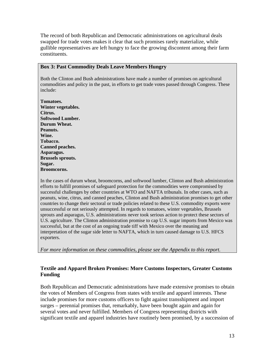The record of both Republican and Democratic administrations on agricultural deals swapped for trade votes makes it clear that such promises rarely materialize, while gullible representatives are left hungry to face the growing discontent among their farm constituents.

#### **Box 3: Past Commodity Deals Leave Members Hungry**

Both the Clinton and Bush administrations have made a number of promises on agricultural commodities and policy in the past, in efforts to get trade votes passed through Congress. These include:

**Tomatoes. Winter vegetables. Citrus. Softwood Lumber. Durum Wheat. Peanuts. Wine. Tobacco. Canned peaches. Asparagus. Brussels sprouts. Sugar. Broomcorns.**

In the cases of durum wheat, broomcorns, and softwood lumber, Clinton and Bush administration efforts to fulfill promises of safeguard protection for the commodities were compromised by successful challenges by other countries at WTO and NAFTA tribunals. In other cases, such as peanuts, wine, citrus, and canned peaches, Clinton and Bush administration promises to get other countries to change their sectoral or trade policies related to these U.S. commodity exports were unsuccessful or not seriously attempted. In regards to tomatoes, winter vegetables, Brussels sprouts and asparagus, U.S. administrations never took serious action to protect these sectors of U.S. agriculture. The Clinton administration promise to cap U.S. sugar imports from Mexico was successful, but at the cost of an ongoing trade tiff with Mexico over the meaning and interpretation of the sugar side letter to NAFTA, which in turn caused damage to U.S. HFCS exporters.

*For more information on these commodities, please see the Appendix to this report.*

# **Textile and Apparel Broken Promises: More Customs Inspectors, Greater Customs Funding**

Both Republican and Democratic administrations have made extensive promises to obtain the votes of Members of Congress from states with textile and apparel interests. These include promises for more customs officers to fight against transshipment and import surges – perennial promises that, remarkably, have been bought again and again for several votes and never fulfilled. Members of Congress representing districts with significant textile and apparel industries have routinely been promised, by a succession of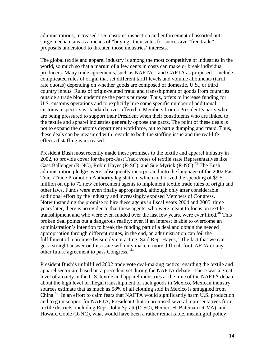administrations, increased U.S. customs inspection and enforcement of assorted antisurge mechanisms as a means of "buying" their votes for successive "free trade" proposals understood to threaten those industries' interests.

The global textile and apparel industry is among the most competitive of industries in the world, so much so that a margin of a few cents in costs can make or break individual producers. Many trade agreements, such as NAFTA – and CAFTA as proposed – include complicated rules of origin that set different tariff levels and volume allotments (tariff rate quotas) depending on whether goods are composed of domestic, U.S., or third country inputs. Rules of origin-related fraud and transshipment of goods from countries outside a trade bloc undermine the pact's purpose. Thus, offers to increase funding for U.S. customs operations and to explicitly hire some specific number of additional customs inspectors is standard cover offered to Members from a President's party who are being pressured to support their President when their constituents who are linked to the textile and apparel industries generally oppose the pacts. The point of these deals is not to expand the customs department workforce, but to battle dumping and fraud. Thus, these deals can be measured with regards to both the staffing issue and the real-life effects if staffing is increased.

President Bush most recently made these promises to the textile and apparel industry in 2002, to provide cover for the pro-Fast Track votes of textile state Representatives like Cass Ballenger (R-NC), Robin Hayes (R-SC), and Sue Myrick (R-NC).<sup>45</sup> The Bush administration pledges were subsequently incorporated into the language of the 2002 Fast Track/Trade Promotion Authority legislation, which authorized the spending of \$9.5 million on up to 72 new enforcement agents to implement textile trade rules of origin and other laws. Funds were even finally appropriated, although only after considerable additional effort by the industry and increasingly exposed Members of Congress. Notwithstanding the promise to hire these agents in fiscal years 2004 and 2005, three years later, there is no evidence that these agents, who were meant to focus on textile transshipment and who were even funded over the last few years, were ever hired.<sup>46</sup> This broken deal points out a dangerous reality: even if an interest is able to overcome an administration's intention to break the funding part of a deal and obtain the needed appropriation through different routes, in the end, an administration can foil the fulfillment of a promise by simply not acting. Said Rep. Hayes, "The fact that we can't get a straight answer on this issue will only make it more difficult for CAFTA or any other future agreement to pass Congress."<sup>47</sup>

President Bush's unfulfilled 2002 trade vote deal-making tactics regarding the textile and apparel sector are based on a precedent set during the NAFTA debate. There was a great level of anxiety in the U.S. textile and apparel industries at the time of the NAFTA debate about the high level of illegal transshipment of such goods in Mexico. Mexican industry sources estimate that as much as 58% of all clothing sold in Mexico is smuggled from China.<sup>48</sup> In an effort to calm fears that NAFTA would significantly harm U.S. production and to gain support for NAFTA, President Clinton promised several representatives from textile districts, including Reps. John Spratt (D-SC), Herbert H. Bateman (R-VA), and Howard Coble (R-NC), what would have been a rather remarkable, meaningful policy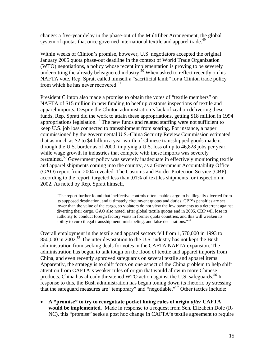change: a five-year delay in the phase-out of the Multifiber Arrangement, the global system of quotas that once governed international textile and apparel trade.<sup>49</sup>

Within weeks of Clinton's promise, however, U.S. negotiators accepted the original January 2005 quota phase-out deadline in the context of World Trade Organization (WTO) negotiations, a policy whose recent implementation is proving to be severely undercutting the already beleaguered industry.<sup>50</sup> When asked to reflect recently on his NAFTA vote, Rep. Spratt called himself a "sacrificial lamb" for a Clinton trade policy from which he has never recovered. $51$ 

President Clinton also made a promise to obtain the votes of "textile members" on NAFTA of \$15 million in new funding to beef up customs inspections of textile and apparel imports. Despite the Clinton administration's lack of zeal on delivering these funds, Rep. Spratt did the work to attain these appropriations, getting \$18 million in 1994 appropriations legislation.<sup>52</sup> The new funds and related staffing were not sufficient to keep U.S. job loss connected to transshipment from soaring. For instance, a paper commissioned by the governmental U.S.-China Security Review Commission estimated that as much as \$2 to \$4 billion a year worth of Chinese transshipped goods made it through the U.S. border as of 2000, implying a U.S. loss of up to 46,828 jobs per year, while wage growth in industries that compete with these imports was severely restrained.<sup>53</sup> Government policy was severely inadequate in effectively monitoring textile and apparel shipments coming into the country, as a Government Accountability Office (GAO) report from 2004 revealed. The Customs and Border Protection Service (CBP), according to the report, targeted less than .01% of textiles shipments for inspection in 2002. As noted by Rep. Spratt himself,

"The report further found that ineffective controls often enable cargo to be illegally diverted from its supposed destination, and ultimately circumvent quotas and duties. CBP's penalties are set lower than the value of the cargo, so violators do not view the low payments as a deterrent against diverting their cargo. GAO also noted, after global textile quotas end in 2005, CBP will lose its authority to conduct foreign factory visits in former quota countries, and this will weaken its ability to curb illegal transshipment, mislabeling, and false declarations."[54](#page-40-50)

Overall employment in the textile and apparel sectors fell from 1,570,000 in 1993 to 850,000 in 2002.<sup>55</sup> The utter devastation to the U.S. industry has not kept the Bush administration from seeking deals for votes in the CAFTA NAFTA expansion. The administration has begun to talk tough on the flood of textile and apparel imports from China, and even recently approved safeguards on several textile and apparel items. Apparently, the strategy is to shift focus on one aspect of the China problem to help shift attention from CAFTA's weaker rules of origin that would allow in more Chinese products. China has already threatened WTO action against the U.S. safeguards.<sup>56</sup> In response to this, the Bush administration has begun toning down its rhetoric by stressing that the safeguard measures are "temporary" and "negotiable." [57 O](#page-40-52)ther tactics include:

• **A "promise" to try to renegotiate pocket lining rules of origin** *after* **CAFTA would be implemented.** Made in response to a request from Sen. Elizabeth Dole (R-NC), this "promise" seeks a post hoc change in CAFTA's textile agreement to require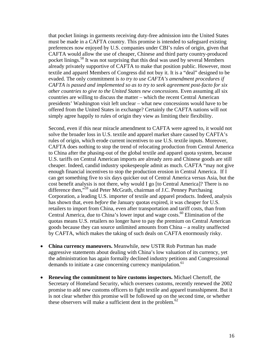that pocket linings in garments receiving duty-free admission into the United States must be made in a CAFTA country. This promise is intended to safeguard existing preferences now enjoyed by U.S. companies under CBI's rules of origin, given that CAFTA would allow the use of cheaper, Chinese and third party country-produced pocket linings.[58 I](#page-40-53)t was not surprising that this deal was used by several Members already privately supportive of CAFTA to make that position public. However, most textile and apparel Members of Congress did not buy it. It is a "deal" designed to be evaded. The only commitment is *to try to use CAFTA's amendment procedures if CAFTA is passed and implemented so as to try to seek agreement post-facto for six other countries to give to the United States new concessions*. Even assuming all six countries are willing to discuss the matter – which the recent Central American presidents' Washington visit left unclear – what new concessions would have to be offered from the United States in exchange? Certainly the CAFTA nations will not simply agree happily to rules of origin they view as limiting their flexibility.

Second, even if this near miracle amendment to CAFTA were agreed to, it would not solve the broader loss in U.S. textile and apparel market share caused by CAFTA's rules of origin, which erode current incentives to use U.S. textile inputs. Moreover, CAFTA does nothing to stop the trend of relocating production from Central America to China after the phasing-out of the global textile and apparel quota system, because U.S. tariffs on Central American imports are already zero and Chinese goods are still cheaper. Indeed, candid industry spokespeople admit as much. CAFTA "may not give enough financial incentives to stop the production erosion in Central America. If I can get something five to six days quicker out of Central America versus Asia, but the cost benefit analysis is not there, why would I go [to Central America]? There is no difference then,"[59 s](#page-40-34)aid Peter McGrath, chairman of J.C. Penney Purchasing Corporation, a leading U.S. importer of textile and apparel products. Indeed, analysis has shown that, even *before* the January quotas expired, it was cheaper for U.S. retailers to import from China, even after transportation and tariff costs, than from Central America, due to China's lower input and wage costs.<sup>60</sup> Elimination of the quotas means U.S. retailers no longer have to pay the premium on Central American goods because they can source unlimited amounts from China – a reality unaffected by CAFTA, which makes the taking of such deals on CAFTA enormously risky.

- **China currency maneuvers.** Meanwhile, new USTR Rob Portman has made aggressive statements about dealing with China's low valuation of its currency, yet the administration has again formally declined industry petitions and Congressional demands to initiate a case concerning currency manipulation.<sup>[61](#page-40-36)</sup>
- **Renewing the commitment to hire customs inspectors.** Michael Chertoff, the Secretary of Homeland Security, which oversees customs, recently renewed the 2002 promise to add new customs officers to fight textile and apparel transshipment. But it is not clear whether this promise will be followed up on the second time, or whether these observers will make a sufficient dent in the problem. [62](#page-40-54)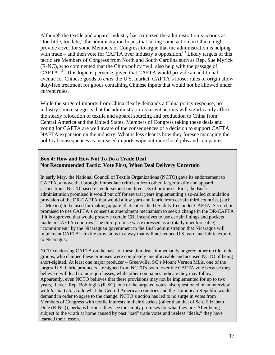Although the textile and apparel industry has criticized the administration's actions as "too little, too late," the administration hopes that taking some action on China might provide cover for some Members of Congress to argue that the administration is helping with trade – and then vote for CAFTA over industry's opposition.<sup>63</sup> Likely targets of this tactic are Members of Congress from North and South Carolina such as Rep. Sue Myrick (R-NC), who commented that the China policy "will also help with the passage of CAFTA."[64 T](#page-40-56)his logic is perverse, given that CAFTA would provide an additional avenue for Chinese goods to *enter* the U.S. market: CAFTA's looser rules of origin allow duty-free treatment for goods containing Chinese inputs that would not be allowed under current rules.

While the surge of imports from China clearly demands a China policy response, no industry source suggests that the administration's recent actions will significantly affect the steady relocation of textile and apparel sourcing and production to China from Central America and the United States. Members of Congress taking these deals and voting for CAFTA are well aware of the consequences of a decision to support CAFTA NAFTA expansion on the industry. What is less clear is how they foresee managing the political consequences as increased imports wipe out more local jobs and companies.

#### **Box 4: How and How Not To Do a Trade Deal Not Recommended Tactic: Vote First, When Deal Delivery Uncertain**

In early May, the National Council of Textile Organizations (NCTO) gave its endorsement to CAFTA, a move that brought immediate criticism from other, larger textile and apparel associations. NCTO based its endorsement on three sets of promises. First, the Bush administration promised it would put off for several years implementing a so-called cumulation provision of the DR-CAFTA that would allow yarn and fabric from certain third countries (such as Mexico) to be used for making apparel that enters the U.S. duty free under CAFTA. Second, it promised to use CAFTA's consensus amendment mechanism to seek a change in the DR-CAFTA if it is approved that would preserve certain CBI incentives to use certain linings and pockets made in CAFTA countries. The third promise was expressed as a (totally unenforceable) "commitment" by the Nicaraguan government to the Bush administration that Nicaragua will implement CAFTA's textile provisions in a way that will not reduce U.S. yarn and fabric exports to Nicaragua.

NCTO endorsing CAFTA on the basis of these thin deals immediately angered other textile trade groups, who claimed these promises were completely unenforceable and accused NCTO of being short-sighted. At least one major producer – Greenville, SC's Mount Vernon Mills, one of the largest U.S. fabric producers – resigned from NCTO's board over the CAFTA vote because they believe it will lead to more job losses, while other companies indicate they may follow. Apparently, even NCTO believes that these provisions may not be implemented for up to two years, if ever. Rep. Bob Inglis (R-SC), one of the targeted votes, also questioned in an interview with *Inside U.S. Trade* what the Central American countries and the Dominican Republic would demand in order to agree to the change*.* NCTO's action has led to no surge in votes from Members of Congress with textile interests in their districts (other than that of Sen. Elizabeth Dole (R-NC)), perhaps because they see the empty promises for what they are. After being subject to the wrath at home caused by past "bad" trade votes and useless "deals," they have learned their lesson.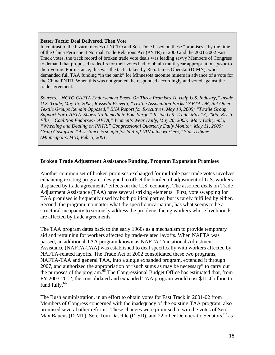#### **Better Tactic: Deal Delivered, Then Vote**

In contrast to the bizarre moves of NCTO and Sen. Dole based on these "promises," by the time of the China Permanent Normal Trade Relations Act (PNTR) in 2000 and the 2001-2002 Fast Track votes, the track record of broken trade vote deals was leading savvy Members of Congress to demand that proposed tradeoffs for their votes had to obtain multi-year appropriations *prior* to their voting. For instance, this was the tactic taken by Rep. James Oberstar (D-MN), who demanded full TAA funding "in the bank" for Minnesota taconite miners in advance of a vote for the China PNTR. When this was not granted, he responded accordingly and voted against the trade agreement.

*Sources: "NCTO CAFTA Endorsement Based On Three Promises To Help U.S. Industry," Inside U.S. Trade, May 13, 2005; Rossella Brevetti, "Textile Association Backs CAFTA-DR, But Other Textile Groups Remain Opposed," BNA Report for Executives, May 10, 2005; "Textile Group Support For CAFTA Shows No Immediate Vote Surge," Inside U.S. Trade, May 13, 2005; Kristi Ellis, "Coalition Endorses CAFTA," Women's Wear Daily, May 20, 2005; Mary Dalrymple, "Wheeling and Dealing on PNTR," Congressional Quarterly Daily Monitor, May 11, 2000; Craig Gustafson, "Assistance is sought for laid-off LTV mine workers," Star Tribune (Minneapolis, MN), Feb. 3, 2001.* 

#### **Broken Trade Adjustment Assistance Funding, Program Expansion Promises**

Another common set of broken promises exchanged for multiple past trade votes involves enhancing existing programs designed to offset the burden of adjustment of U.S. workers displaced by trade agreements' effects on the U.S. economy. The assorted deals on Trade Adjustment Assistance (TAA) have several striking elements. First, vote swapping for TAA promises is frequently used by both political parties, but is rarely fulfilled by either. Second, the program, no matter what the specific incarnation, has what seems to be a structural incapacity to seriously address the problems facing workers whose livelihoods are affected by trade agreements.

The TAA program dates back to the early 1960s as a mechanism to provide temporary aid and retraining for workers affected by trade-related layoffs. When NAFTA was passed, an additional TAA program known as NAFTA-Transitional Adjustment Assistance (NAFTA-TAA) was established to deal specifically with workers affected by NAFTA-related layoffs. The Trade Act of 2002 consolidated these two programs, NAFTA-TAA and general TAA, into a single expanded program, extended it through 2007, and authorized the appropriation of "such sums as may be necessary" to carry out the purposes of the program.<sup>65</sup> The Congressional Budget Office has estimated that, from FY 2003-2012, the consolidated and expanded TAA program would cost \$11.4 billion to fund fully. $66$ 

The Bush administration, in an effort to obtain votes for Fast Track in 2001-02 from Members of Congress concerned with the inadequacy of the existing TAA program, also promised several other reforms. These changes were promised to win the votes of Sen. Max Baucus (D-MT), Sen. Tom Daschle (D-SD), and 22 other Democratic Senators,  $67$  as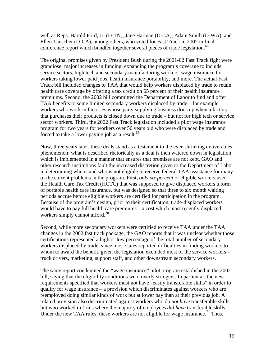well as Reps. Harold Ford, Jr. (D-TN), Jane Harman (D-CA), Adam Smith (D-WA), and Ellen Tauscher (D-CA), among others, who voted for Fast Track in 2002 in final conference report which bundled together several pieces of trade legislation.<sup>[68](#page-40-58)</sup>

The original promises given by President Bush during the 2001-02 Fast Track fight were grandiose: major increases in funding, expanding the program's coverage to include service sectors, high tech and secondary manufacturing workers, wage insurance for workers taking lower paid jobs, health insurance portability, and more. The actual Fast Track bill included changes to TAA that would help workers displaced by trade to retain health care coverage by offering a tax credit on 65 percent of their health insurance premiums. Second, the 2002 bill committed the Department of Labor to find and offer TAA benefits to some limited secondary workers displaced by trade – for example, workers who work in factories whose parts-supplying business dries up when a factory that purchases their products is closed down due to trade – but not for high tech or service sector workers. Third, the 2002 Fast Track legislation included a pilot wage insurance program for two years for workers over 50 years old who were displaced by trade and forced to take a lower paying job as a result. $69$ 

Now, three years later, these deals stand as a testament to the ever-shrinking deliverables phenomenon: what is described rhetorically as a deal is then watered down in legislation which is implemented in a manner that ensures that promises are not kept. GAO and other research institutions fault the increased discretion given to the Department of Labor in determining who is and who is not eligible to receive federal TAA assistance for many of the current problems in the program. First, *only six percent* of eligible workers used the Health Care Tax Credit (HCTC) that was supposed to give displaced workers a form of portable health care insurance, but was designed so that three to six month waiting periods accrue before eligible workers are certified for participation in the program. Because of the program's design, prior to their certification, trade-displaced workers would have to pay full health care premiums – a cost which most recently displaced workers simply cannot afford.<sup>[70](#page-40-59)</sup>

Second, while more secondary workers were certified to receive TAA under the TAA changes in the 2002 fast track package, the GAO reports that it was unclear whether those certifications represented a high or low percentage of the total number of secondary workers displaced by trade, since most states reported difficulties in finding workers to whom to award the benefit, given the legislation excluded most of the service workers – truck drivers, marketing, support staff, and other downstream secondary workers.

The same report condemned the "wage insurance" pilot program established in the 2002 bill, saying that the eligibility conditions were overly stringent. In particular, the new requirements specified that workers must not have "easily transferable skills" in order to qualify for wage insurance – a provision which discriminates against workers who are reemployed doing similar kinds of work but at lower pay than at their previous job. A related provision also discriminated against workers who do *not have* transferable skills, but who worked in firms where the majority of employees *did have* transferable skills. Under the new TAA rules, these workers are not eligible for wage insurance.<sup>71</sup> Thus,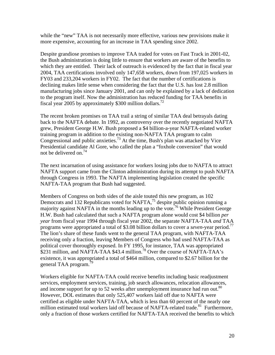while the "new" TAA is not necessarily more effective, various new provisions make it more expensive, accounting for an increase in TAA spending since 2002.

Despite grandiose promises to improve TAA traded for votes on Fast Track in 2001-02, the Bush administration is doing little to ensure that workers are aware of the benefits to which they are entitled. Their lack of outreach is evidenced by the fact that in fiscal year 2004, TAA certifications involved only 147,658 workers, down from 197,025 workers in FY03 and 233,204 workers in FY02. The fact that the number of certifications is declining makes little sense when considering the fact that the U.S. has lost 2.8 million manufacturing jobs since January 2001, and can only be explained by a lack of dedication to the program itself. Now the administration has reduced funding for TAA benefits in fiscal year 2005 by approximately \$300 million dollars.<sup>72</sup>

The recent broken promises on TAA trail a string of similar TAA deal betrayals dating back to the NAFTA debate. In 1992, as controversy over the recently negotiated NAFTA grew, President George H.W. Bush proposed a \$4 billion-a-year NAFTA-related worker training program in addition to the existing non-NAFTA TAA program to calm Congressional and public anxieties.<sup>73</sup> At the time, Bush's plan was attacked by Vice Presidential candidate Al Gore, who called the plan a "foxhole conversion" that would not be delivered on  $^{74}$ 

The next incarnation of using assistance for workers losing jobs due to NAFTA to attract NAFTA support came from the Clinton administration during its attempt to push NAFTA through Congress in 1993. The NAFTA implementing legislation created the specific NAFTA-TAA program that Bush had suggested.

Members of Congress on both sides of the aisle touted this new program, as 102 Democrats and 132 Republicans voted for NAFTA,<sup>75</sup> despite public opinion running a majority against NAFTA in the months leading up to the vote.<sup>76</sup> While President George H.W. Bush had calculated that such a NAFTA program alone would cost \$4 billion *per year* from fiscal year 1994 through fiscal year 2002, the separate NAFTA-TAA *and* TAA programs were appropriated a total of \$3.08 billion dollars to cover a *seven*-year period[.77](#page-40-65) The lion's share of these funds went to the general TAA program, with NAFTA-TAA receiving only a fraction, leaving Members of Congress who had used NAFTA-TAA as political cover thoroughly exposed. In FY 1995, for instance, TAA was appropriated \$231 million, and NAFTA-TAA \$43.4 million.<sup>78</sup> Over the course of NAFTA-TAA's existence, it was appropriated a total of \$464 million, compared to \$2.67 billion for the general TAA program.<sup>[79](#page-40-27)</sup>

Workers eligible for NAFTA-TAA could receive benefits including basic readjustment services, employment services, training, job search allowances, relocation allowances, and income support for up to 52 weeks after unemployment insurance had run out.<sup>80</sup> However, DOL estimates that only 525,407 workers laid off due to NAFTA were certified as eligible under NAFTA-TAA, which is less than 60 percent of the nearly one million estimated total workers laid off because of NAFTA-related trade.<sup>81</sup> Furthermore, only a fraction of those workers certified for NAFTA-TAA received the benefits to which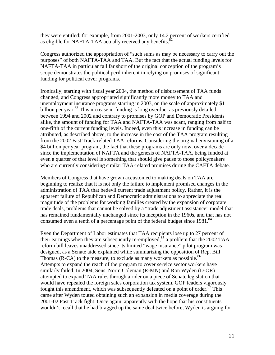they were entitled; for example, from 2001-2003, only 14.2 percent of workers certified as eligible for NAFTA-TAA actually received any benefits.<sup>[82](#page-40-68)</sup>

Congress authorized the appropriation of "such sums as may be necessary to carry out the purposes" of both NAFTA-TAA and TAA. But the fact that the actual funding levels for NAFTA-TAA in particular fall far short of the original conception of the program's scope demonstrates the political peril inherent in relying on promises of significant funding for political cover programs.

Ironically, starting with fiscal year 2004, the method of disbursement of TAA funds changed, and Congress appropriated significantly more money to TAA and unemployment insurance programs starting in 2003, on the scale of approximately \$1 billion per year.<sup>83</sup> This increase in funding is long overdue: as previously detailed, between 1994 and 2002 and contrary to promises by GOP and Democratic Presidents alike, the amount of funding for TAA and NAFTA-TAA was scant, ranging from half to one-fifth of the current funding levels. Indeed, even this increase in funding can be attributed, as described above, to the increase in the cost of the TAA program resulting from the 2002 Fast Track-related TAA reforms. Considering the original envisioning of a \$4 billion per year program, the fact that these programs are only now, over a decade since the implementation of NAFTA and the genesis of NAFTA-TAA, being funded at even a quarter of that level is something that should give pause to those policymakers who are currently considering similar TAA-related promises during the CAFTA debate.

Members of Congress that have grown accustomed to making deals on TAA are beginning to realize that it is not only the failure to implement promised changes in the administration of TAA that bedevil current trade adjustment policy. Rather, it is the apparent failure of Republican and Democratic administrations to appreciate the real magnitude of the problems for working families created by the expansion of corporate trade deals, problems that cannot be solved by a "trade adjustment assistance" model that has remained fundamentally unchanged since its inception in the 1960s, and that has not consumed even a tenth of a percentage point of the federal budget since  $1981$ .<sup>84</sup>

Even the Department of Labor estimates that TAA recipients lose up to 27 percent of their earnings when they are subsequently re-employed, $85$  a problem that the 2002 TAA reform bill leaves unaddressed since its limited "wage insurance" pilot program was designed, as a Senate aide explained while summarizing the opposition of Rep. Bill Thomas (R-CA) to the measure, to exclude as many workers as possible.<sup>86</sup> Attempts to expand the reach of the program to cover service sector workers have similarly failed. In 2004, Sens. Norm Coleman (R-MN) and Ron Wyden (D-OR) attempted to expand TAA rules through a rider on a piece of Senate legislation that would have repealed the foreign sales corporation tax system. GOP leaders vigorously fought this amendment, which was subsequently defeated on a point of order.<sup>87</sup> This came after Wyden touted obtaining such an expansion in media coverage during the 2001-02 Fast Track fight. Once again, apparently with the hope that his constituents wouldn't recall that he had bragged up the same deal twice before, Wyden is arguing for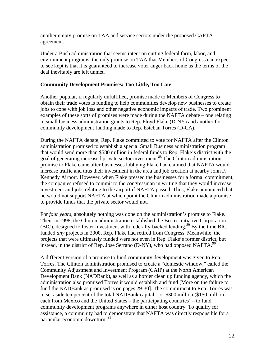another empty promise on TAA and service sectors under the proposed CAFTA agreement.

Under a Bush administration that seems intent on cutting federal farm, labor, and environment programs, the only promise on TAA that Members of Congress can expect to see kept is that it is guaranteed to increase voter anger back home as the terms of the deal inevitably are left unmet.

### **Community Development Promises: Too Little, Too Late**

Another popular, if regularly unfulfilled, promise made to Members of Congress to obtain their trade votes is funding to help communities develop new businesses to create jobs to cope with job loss and other negative economic impacts of trade. Two prominent examples of these sorts of promises were made during the NAFTA debate – one relating to small business administration grants to Rep. Floyd Flake (D-NY) and another for community development funding made to Rep. Esteban Torres (D-CA).

During the NAFTA debate, Rep. Flake committed to vote for NAFTA after the Clinton administration promised to establish a special Small Business administration program that would send more than \$580 million in federal funds to Rep. Flake's district with the goal of generating increased private sector investment.[88 T](#page-40-36)he Clinton administration promise to Flake came after businesses lobbying Flake had claimed that NAFTA would increase traffic and thus their investment in the area and job creation at nearby John F. Kennedy Airport. However, when Flake pressed the businesses for a formal commitment, the companies refused to commit to the congressman in writing that they would increase investment and jobs relating to the airport if NAFTA passed. Thus, Flake announced that he would not support NAFTA at which point the Clinton administration made a promise to provide funds that the private sector would not.

For *four years*, absolutely nothing was done on the administration's promise to Flake. Then, in 1998, the Clinton administration established the Bronx Initiative Corporation (BIC), designed to foster investment with federally-backed lending.<sup>89</sup> By the time BIC funded *any* projects in 2000, Rep. Flake had retired from Congress. Meanwhile, the projects that were ultimately funded were not even in Rep. Flake's former district, but instead, in the district of Rep. Jose Serrano (D-NY), who had opposed NAFTA.<sup>[90](#page-40-37)</sup>

A different version of a promise to fund community development was given to Rep. Torres. The Clinton administration promised to create a "domestic window," called the Community Adjustment and Investment Program (CAIP) at the North American Development Bank (NADBank), as well as a border clean up funding agency, which the administration also promised Torres it would establish and fund [More on the failure to fund the NADBank as promised is on pages 29-30]. The commitment to Rep. Torres was to set aside ten percent of the total NADBank capital – or \$300 million (\$150 million each from Mexico and the United States – the participating countries) – to fund community development programs anywhere in either host country. To qualify for assistance, a community had to demonstrate that NAFTA was directly responsible for a particular economic downturn. [91](#page-40-71)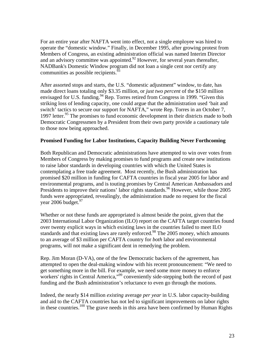For an entire year after NAFTA went into effect, not a single employee was hired to operate the "domestic window." Finally, in December 1995, after growing protest from Members of Congress, an existing administration official was named Interim Director and an advisory committee was appointed.<sup>92</sup> However, for several years thereafter, NADBank's Domestic Window program did not loan a single cent nor certify any communities as possible recipients.  $93$ 

After assorted stops and starts, the U.S. "domestic adjustment" window, to date, has made direct loans totaling only \$3.35 million, or *just two percent* of the \$150 million envisaged for U.S. funding.<sup>94</sup> Rep. Torres retired from Congress in 1999. "Given this striking loss of lending capacity, one could argue that the administration used 'bait and switch' tactics to secure our support for NAFTA," wrote Rep. Torres in an October 7, 1997 letter.<sup>95</sup> The promises to fund economic development in their districts made to both Democratic Congressmen by a President from their own party provide a cautionary tale to those now being approached.

# **Promised Funding for Labor Institutions, Capacity Building Never Forthcoming**

Both Republican and Democratic administrations have attempted to win over votes from Members of Congress by making promises to fund programs and create new institutions to raise labor standards in developing countries with which the United States is contemplating a free trade agreement. Most recently, the Bush administration has promised \$20 million in funding for CAFTA countries in fiscal year 2005 for labor and environmental programs, and is touting promises by Central American Ambassadors and Presidents to improve their nations' labor rights standards.<sup>96</sup> However, while those 2005 funds were appropriated, revealingly, the administration made no request for the fiscal year 2006 budget. $97$ 

Whether or not these funds are appropriated is almost beside the point, given that the 2003 International Labor Organization (ILO) report on the CAFTA target countries found over twenty explicit ways in which existing laws in the countries failed to meet ILO standards and that existing laws are rarely enforced.<sup>98</sup> The 2005 money, which amounts to an average of \$3 million per CAFTA country for *both* labor and environmental programs, will not make a significant dent in remedying the problem.

Rep. Jim Moran (D-VA), one of the few Democratic backers of the agreement, has attempted to open the deal-making window with his recent pronouncement: "We need to get something more in the bill. For example, we need some more money to enforce workers' rights in Central America,"<sup>99</sup> conveniently side-stepping both the record of past funding and the Bush administration's reluctance to even go through the motions.

Indeed, the nearly \$14 million *existing* average *per year* in U.S. labor capacity-building and aid to the CAFTA countries has not led to significant improvements on labor rights in these countries.<sup>100</sup> The grave needs in this area have been confirmed by Human Rights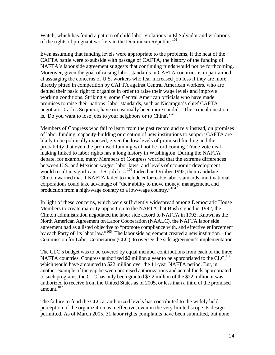Watch, which has found a pattern of child labor violations in El Salvador and violations of the rights of pregnant workers in the Dominican Republic.<sup>101</sup>

Even assuming that funding levels were appropriate to the problems, if the heat of the CAFTA battle were to subside with passage of CAFTA, the history of the funding of NAFTA's labor side agreement suggests that continuing funds would not be forthcoming. Moreover, given the goal of raising labor standards in CAFTA countries is in part aimed at assuaging the concerns of U.S. workers who fear increased job loss if they are more directly pitted in competition by CAFTA against Central American workers, who are denied their basic right to organize in order to raise their wage levels and improve working conditions. Strikingly, some Central American officials who have made promises to raise their nations' labor standards, such as Nicaragua's chief CAFTA negotiator Carlos Sequiera, have occasionally been more candid: "The critical question is, 'Do you want to lose jobs to your neighbors or to China?'"<sup>[102](#page-40-79)</sup>

Members of Congress who fail to learn from the past record and rely instead, on promises of labor funding, capacity-building or creation of new institutions to support CAFTA are likely to be politically exposed, given the low levels of promised funding and the probability that even the promised funding will not be forthcoming. Trade vote dealmaking linked to labor rights has a long history in Washington. During the NAFTA debate, for example, many Members of Congress worried that the extreme differences between U.S. and Mexican wages, labor laws, and levels of economic development would result in significant U.S. job loss.<sup>[103](#page-40-80)</sup> Indeed, in October 1992, then-candidate Clinton warned that if NAFTA failed to include enforceable labor standards, multinational corporations could take advantage of "their ability to move money, management, and production from a high-wage country to a low-wage country."<sup>104</sup>

In light of these concerns, which were sufficiently widespread among Democratic House Members to create majority opposition to the NAFTA that Bush signed in 1992, the Clinton administration negotiated the labor side accord to NAFTA in 1993. Known as the North American Agreement on Labor Cooperation (NAALC), the NAFTA labor side agreement had as a listed objective to "promote compliance with, and effective enforcement by each Party of, its labor law."<sup>105</sup> The labor side agreement created a new institution – the Commission for Labor Cooperation (CLC), to oversee the side agreement's implementation.

The CLC's budget was to be covered by equal member contributions from each of the three NAFTA countries. Congress authorized \$2 million a year to be appropriated to the CLC,<sup>106</sup> which would have amounted to \$22 million over the 11-year NAFTA period. But, in another example of the gap between promised authorizations and actual funds appropriated to such programs, the CLC has only been granted \$7.2 million of the \$22 million it was authorized to receive from the United States as of 2005, or less than a third of the promised amount.<sup>107</sup>

The failure to fund the CLC at authorized levels has contributed to the widely held perception of the organization as ineffective, even in the very limited scope its design permitted. As of March 2005, 31 labor rights complaints have been submitted, but none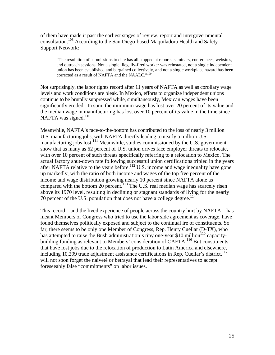of them have made it past the earliest stages of review, report and intergovernmental consultation.[108 A](#page-40-85)ccording to the San Diego-based Maquiladora Health and Safety Support Network:

"The resolution of submissions to date has all stopped at reports, seminars, conferences, websites, and outreach sessions. Not a single illegally-fired worker was reinstated, not a single independent union has been established and bargained collectively, and not a single workplace hazard has been corrected as a result of NAFTA and the NAALC."<sup>[109](#page-40-86)</sup>

Not surprisingly, the labor rights record after 11 years of NAFTA as well as corollary wage levels and work conditions are bleak. In Mexico, efforts to organize independent unions continue to be brutally suppressed while, simultaneously, Mexican wages have been significantly eroded. In sum, the minimum wage has lost over 20 percent of its value and the median wage in manufacturing has lost over 10 percent of its value in the time since NAFTA was signed. $110$ 

Meanwhile, NAFTA's race-to-the-bottom has contributed to the loss of nearly 3 million U.S. manufacturing jobs, with NAFTA directly leading to nearly a million U.S. manufacturing jobs lost.<sup>111</sup> Meanwhile, studies commissioned by the U.S. government show that as many as 62 percent of U.S. union drives face employer threats to relocate, with over 10 percent of such threats specifically referring to a relocation to Mexico. The actual factory shut-down rate following successful union certifications tripled in the years after NAFTA relative to the years before.<sup>112</sup> U.S. income and wage inequality have gone up markedly, with the ratio of both income and wages of the top five percent of the income and wage distribution growing nearly 10 percent since NAFTA alone as compared with the bottom 20 percent.<sup>113</sup> The U.S. real median wage has scarcely risen above its 1970 level, resulting in declining or stagnant standards of living for the nearly 70 percent of the U.S. population that does not have a college degree.<sup>114</sup>

This record – and the lived experience of people across the country hurt by NAFTA – has meant Members of Congress who tried to use the labor side agreement as coverage, have found themselves politically exposed and subject to the continual ire of constituents. So far, there seems to be only one Member of Congress, Rep. Henry Cuellar (D-TX), who has attempted to raise the Bush administration's tiny one-year  $$10$  million<sup>115</sup> capacitybuilding funding as relevant to Members' consideration of CAFTA.<sup>116</sup> But constituents that have lost jobs due to the relocation of production to Latin America and elsewhere, including 10,299 trade adjustment assistance certifications in Rep. Cuellar's district,<sup>[117](#page-40-93)</sup> will not soon forget the naiveté or betrayal that lead their representatives to accept foreseeably false "commitments" on labor issues.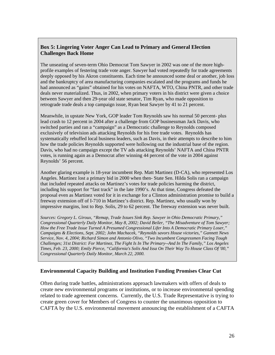# **Box 5: Lingering Voter Anger Can Lead to Primary and General Election Challenges Back Home**

The unseating of seven-term Ohio Democrat Tom Sawyer in 2002 was one of the more highprofile examples of festering trade vote anger. Sawyer had voted repeatedly for trade agreements deeply opposed by his Akron constituents. Each time he announced some deal or another, job loss and the bankruptcy of area manufacturing companies escalated and the programs and funds he had announced as "gains" obtained for his votes on NAFTA, WTO, China PNTR, and other trade deals never materialized. Thus, in 2002, when primary voters in his district were given a choice between Sawyer and then 29-year old state senator, Tim Ryan, who made opposition to retrograde trade deals a top campaign issue, Ryan beat Sawyer by 41 to 21 percent.

Meanwhile, in upstate New York, GOP leader Tom Reynolds saw his normal 50 percent- plus lead crash to 12 percent in 2004 after a challenge from GOP businessman Jack Davis, who switched parties and ran a "campaign" as a Democratic challenge to Reynolds composed exclusively of television ads attacking Reynolds for his free trade votes. Reynolds has systematically rebuffed local business leaders, such as Davis, in their attempts to describe to him how the trade policies Reynolds supported were hollowing out the industrial base of the region. Davis, who had no campaign except the TV ads attacking Reynolds' NAFTA and China PNTR votes, is running again as a Democrat after winning 44 percent of the vote in 2004 against Reynolds' 56 percent.

Another glaring example is 18-year incumbent Rep. Matt Martinez (D-CA), who represented Los Angeles. Martinez lost a primary bid in 2000 when then- State Sen. Hilda Solis ran a campaign that included repeated attacks on Martinez's votes for trade policies harming the district, including his support for "fast track" in the late 1990's. At that time, Congress defeated the proposal even as Martinez voted for it in exchange for a Clinton administration promise to build a freeway extension off of I-710 in Martinez's district. Rep. Martinez, who usually won by impressive margins, lost to Rep. Solis, 29 to 62 percent. The freeway extension was never built.

*Sources: Gregory L. Giroux, "Remap, Trade Issues Sink Rep. Sawyer in Ohio Democratic Primary," Congressional Quarterly Daily Monitor, May 8, 2002; David Beiler, "The Misadventure of Tom Sawyer; How the Free Trade Issue Turned A Presumed Congressional Lifer Into A Democratic Primary Loser," Campaigns & Elections, Sept. 2002; John Machacek, "Reynolds savors House victories," Gannett News Service, Nov. 4, 2004; Richard Simon and Antonio Olivo, "Two Incumbent Congressmen Facing Tough Challenges; 31st District: For Martinez, The Fight Is In The Primary--And In The Family," Los Angeles Times, Feb. 23, 2000; Emily Pierce, "California's Solis And Issa On Their Way To House Class Of '00," Congressional Quarterly Daily Monitor, March 22, 2000.*

# **Environmental Capacity Building and Institution Funding Promises Clear Cut**

Often during trade battles, administrations approach lawmakers with offers of deals to create new environmental programs or institutions, or to increase environmental spending related to trade agreement concerns. Currently, the U.S. Trade Representative is trying to create green cover for Members of Congress to counter the unanimous opposition to CAFTA by the U.S. environmental movement announcing the establishment of a CAFTA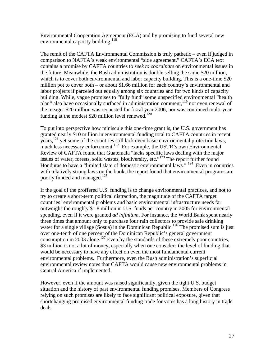Environmental Cooperation Agreement (ECA) and by promising to fund several new environmental capacity building.<sup>118</sup>

The remit of the CAFTA Environmental Commission is truly pathetic – even if judged in comparison to NAFTA's weak environmental "side agreement." CAFTA's ECA text contains a promise by CAFTA countries to *seek to coordinate* on environmental issues in the future. Meanwhile, the Bush administration is double selling the same \$20 million, which is to cover both environmental and labor capacity building. This is a one-time \$20 million pot to cover both – or about \$1.66 million for each country's environmental and labor projects if parceled out equally among six countries and for two kinds of capacity building. While, vague promises to "fully fund" some unspecified environmental "health plan" also have occasionally surfaced in administration comment,<sup>119</sup> not even renewal of the meager \$20 million was requested for fiscal year 2006, nor was continued multi-year funding at the modest  $$20$  million level renewed.<sup>[120](#page-40-96)</sup>

To put into perspective how miniscule this one-time grant is, the U.S. government has granted nearly \$10 million in environmental funding total to CAFTA countries in recent years, $121$  yet some of the countries still lack even basic environmental protection laws, much less necessary enforcement.<sup>122</sup> For example, the USTR's own Environmental Review of CAFTA found that Guatemala "lacks specific laws dealing with the major issues of water, forests, solid wastes, biodiversity, etc."[123 T](#page-40-99)he report further found Honduras to have a "limited slate of domestic environmental laws." <sup>124</sup> Even in countries with relatively strong laws on the book, the report found that environmental programs are poorly funded and managed.<sup>125</sup>

If the goal of the proffered U.S. funding is to change environmental practices, and not to try to create a short-term political distraction, the magnitude of the CAFTA target countries' environmental problems and basic environmental infrastructure needs far outweighs the roughly \$1.8 million in U.S. funds per country in 2005 for environmental spending, even if it were granted *ad infinitum*. For instance, the World Bank spent nearly three times that amount only to purchase four rain collectors to provide safe drinking water for a single village (Sosua) in the Dominican Republic.<sup>126</sup> The promised sum is just over one-tenth of one percent of the Dominican Republic's general government consumption in 2003 alone.<sup>127</sup> Even by the standards of these extremely poor countries, \$3 million is not a lot of money, especially when one considers the level of funding that would be necessary to have any effect on even the most fundamental current environmental problems. Furthermore, even the Bush administration's superficial environmental review notes that CAFTA would cause new environmental problems in Central America if implemented.

However, even if the amount was raised significantly, given the tight U.S. budget situation and the history of past environmental funding promises, Members of Congress relying on such promises are likely to face significant political exposure, given that shortchanging promised environmental funding trade for votes has a long history in trade deals.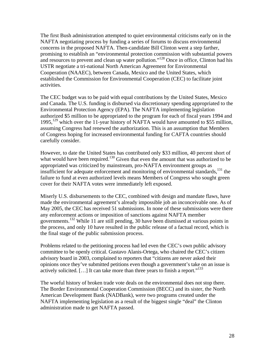The first Bush administration attempted to quiet environmental criticisms early on in the NAFTA negotiating process by funding a series of forums to discuss environmental concerns in the proposed NAFTA. Then-candidate Bill Clinton went a step farther, promising to establish an "environmental protection commission with substantial powers and resources to prevent and clean up water pollution."<sup>128</sup> Once in office, Clinton had his USTR negotiate a tri-national North American Agreement for Environmental Cooperation (NAAEC), between Canada, Mexico and the United States, which established the Commission for Environmental Cooperation (CEC) to facilitate joint activities.

The CEC budget was to be paid with equal contributions by the United States, Mexico and Canada. The U.S. funding is disbursed via discretionary spending appropriated to the Environmental Protection Agency (EPA). The NAFTA implementing legislation authorized \$5 million to be appropriated to the program for each of fiscal years 1994 and 1995,<sup>129</sup> which over the 11-year history of NAFTA would have amounted to \$55 million, assuming Congress had renewed the authorization. This is an assumption that Members of Congress hoping for increased environmental funding for CAFTA countries should carefully consider.

However, to date the United States has contributed only \$33 million, 40 percent short of what would have been required.<sup>130</sup> Given that even the amount that was authorized to be appropriated was criticized by mainstream, pro-NAFTA environment groups as insufficient for adequate enforcement and monitoring of environmental standards,  $^{131}$  the failure to fund at even authorized levels means Members of Congress who sought green cover for their NAFTA votes were immediately left exposed.

Miserly U.S. disbursements to the CEC, combined with design and mandate flaws, have made the environmental agreement's already impossible job an inconceivable one. As of May 2005, the CEC has received 51 submissions. In none of these submissions were there any enforcement actions or imposition of sanctions against NAFTA member governments.[132 W](#page-40-106)hile 11 are still pending, 30 have been dismissed at various points in the process, and only 10 have resulted in the public release of a factual record, which is the final stage of the public submission process.

Problems related to the petitioning process had led even the CEC's own public advisory committee to be openly critical. Gustavo Alanis-Ortega, who chaired the CEC's citizen advisory board in 2003, complained to reporters that "citizens are never asked their opinions once they've submitted petitions even though a government's take on an issue is actively solicited. [...] It can take more than three years to finish a report."<sup>133</sup>

The woeful history of broken trade vote deals on the environmental does not stop there. The Border Environmental Cooperation Commission (BECC) and its sister, the North American Development Bank (NADBank), were two programs created under the NAFTA implementing legislation as a result of the biggest single "deal" the Clinton administration made to get NAFTA passed.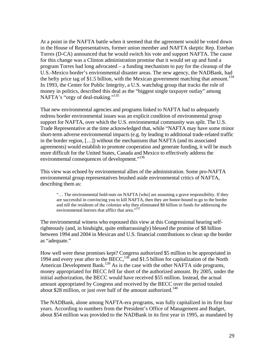At a point in the NAFTA battle when it seemed that the agreement would be voted down in the House of Representatives, former union member and NAFTA skeptic Rep. Esteban Torres (D-CA) announced that he would switch his vote and support NAFTA. The cause for this change was a Clinton administration promise that it would set up and fund a program Torres had long advocated – a funding mechanism to pay for the cleanup of the U.S.-Mexico border's environmental disaster areas. The new agency, the NADBank, had the hefty price tag of \$1.5 billion, with the Mexican government matching that amount.<sup>134</sup> In 1993, the Center for Public Integrity, a U.S. watchdog group that tracks the role of money in politics, described this deal as the "biggest single taxpayer outlay" among NAFTA's "orgy of deal-making."[135](#page-40-109)

That new environmental agencies and programs linked to NAFTA had to adequately redress border environmental issues was an explicit condition of environmental group support for NAFTA, over which the U.S. environmental community was split. The U.S. Trade Representative at the time acknowledged that, while "NAFTA may have some minor short-term adverse environmental impacts (e.g. by leading to additional trade-related traffic in the border region, […]) without the mechanisms that NAFTA (and its associated agreements) would establish to promote cooperation and generate funding, it will be much more difficult for the United States, Canada and Mexico to effectively address the environmental consequences of development."<sup>[136](#page-40-110)</sup>

This view was echoed by environmental allies of the administration. Some pro-NAFTA environmental group representatives brushed aside environmental critics of NAFTA, describing them as:

"… The environmental hold-outs on NAFTA [who] are assuming a grave responsibility. If they are successful in convincing you to kill NAFTA, then they are honor-bound to go to the border and tell the residents of the *colonias* why they eliminated \$8 billion in funds for addressing the environmental horrors that afflict that area."<sup>[137](#page-40-77)</sup>

The environmental witness who espoused this view at this Congressional hearing selfrighteously (and, in hindsight, quite embarrassingly) blessed the promise of \$8 billion between 1994 and 2004 in Mexican and U.S. financial contributions to clean up the border as "adequate."

How well were these promises kept? Congress authorized \$5 million to be appropriated in 1994 and every year after to the BECC,<sup>138</sup> and \$1.5 billion for capitalization of the North American Development Bank.<sup>[139](#page-40-112)</sup> As is the case with the other NAFTA side programs, money appropriated for BECC fell far short of the authorized amount. By 2005, under the initial authorization, the BECC would have received \$55 million. Instead, the actual amount appropriated by Congress and received by the BECC over the period totaled about \$28 million, or just over half of the amount authorized.<sup>140</sup>

The NADBank, alone among NAFTA-era programs, was fully capitalized in its first four years. According to numbers from the President's Office of Management and Budget, about \$54 million was provided to the NADBank in its first year in 1995, as mandated by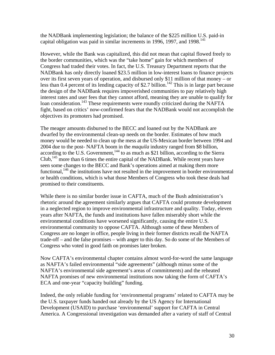the NADBank implementing legislation; the balance of the \$225 million U.S. paid-in capital obligation was paid in similar increments in 1996, 1997, and 1998.<sup>141</sup>

However, while the Bank was capitalized, this did not mean that capital flowed freely to the border communities, which was the "take home" gain for which members of Congress had traded their votes. In fact, the U.S. Treasury Department reports that the NADBank has only directly loaned \$23.5 million in low-interest loans to finance projects over its first seven years of operation, and disbursed only \$11 million of that money – or less than 0.4 percent of its lending capacity of \$2.7 billion.<sup>[142](#page-40-114)</sup> This is in large part because the design of the NADBank requires impoverished communities to pay relatively high interest rates and user fees that they cannot afford, meaning they are unable to qualify for loan consideration.<sup>143</sup> These requirements were roundly criticized during the NAFTA fight, based on critics' now-confirmed fears that the NADBank would not accomplish the objectives its promoters had promised.

The meager amounts disbursed to the BECC and loaned out by the NADBank are dwarfed by the environmental clean-up needs on the border. Estimates of how much money would be needed to clean up the mess at the US-Mexican border between 1994 and 2004 due to the post- NAFTA boom in the *maquila* industry ranged from \$8 billion, according to the U.S. Government,<sup>144</sup> to as much as \$21 billion, according to the Sierra Club,<sup>145</sup> more than 6 times the entire capital of the NADBank. While recent years have seen some changes to the BECC and Bank's operations aimed at making them more functional,  $146$  the institutions have not resulted in the improvement in border environmental or health conditions, which is what those Members of Congress who took these deals had promised to their constituents.

While there is no similar border issue in CAFTA, much of the Bush administration's rhetoric around the agreement similarly argues that CAFTA could promote development in a neglected region to improve environmental infrastructure and quality. Today, eleven years after NAFTA, the funds and institutions have fallen miserably short while the environmental conditions have worsened significantly, causing the entire U.S. environmental community to oppose CAFTA. Although some of these Members of Congress are no longer in office, people living in their former districts recall the NAFTA trade-off – and the false promises – with anger to this day. So do some of the Members of Congress who voted in good faith on promises later broken.

Now CAFTA's environmental chapter contains almost word-for-word the same language as NAFTA's failed environmental "side agreements" (although minus some of the NAFTA's environmental side agreement's areas of commitments) and the reheated NAFTA promises of new environmental institutions now taking the form of CAFTA's ECA and one-year "capacity building" funding.

Indeed, the only reliable funding for 'environmental programs' related to CAFTA may be the U.S. taxpayer funds handed out already by the US Agency for International Development (USAID) to purchase 'environmental' support for CAFTA in Central America. A Congressional investigation was demanded after a variety of staff of Central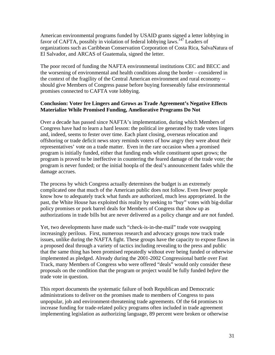American environmental programs funded by USAID grants signed a letter lobbying in favor of CAFTA, possibly in violation of federal lobbying laws.<sup>147</sup> Leaders of organizations such as Caribbean Conservation Corporation of Costa Rica, SalvaNatura of El Salvador, and ARCAS of Guatemala, signed the letter.

The poor record of funding the NAFTA environmental institutions CEC and BECC and the worsening of environmental and health conditions along the border – considered in the context of the fragility of the Central American environment and rural economy - should give Members of Congress pause before buying foreseeably false environmental promises connected to CAFTA vote lobbying.

# **Conclusion: Voter Ire Lingers and Grows as Trade Agreement's Negative Effects Materialize While Promised Funding, Ameliorative Programs Do Not**

Over a decade has passed since NAFTA's implementation, during which Members of Congress have had to learn a hard lesson: the political ire generated by trade votes lingers and, indeed, seems to fester over time. Each plant closing, overseas relocation and offshoring or trade deficit news story reminds voters of how angry they were about their representatives' vote on a trade matter. Even in the rare occasion when a promised program is initially funded, either that funding ends while constituent upset grows; the program is proved to be ineffective in countering the feared damage of the trade vote; the program is never funded; or the initial hoopla of the deal's announcement fades while the damage accrues.

The process by which Congress actually determines the budget is an extremely complicated one that much of the American public does not follow. Even fewer people know how to adequately track what funds are authorized, much less appropriated. In the past, the White House has exploited this reality by seeking to "buy" votes with big-dollar policy promises or pork barrel deals for Members of Congress that show up as authorizations in trade bills but are never delivered as a policy change and are not funded.

Yet, two developments have made such "check-is-in-the-mail" trade vote swapping increasingly perilous. First, numerous research and advocacy groups now track trade issues, unlike during the NAFTA fight. These groups have the capacity to expose flaws in a proposed deal through a variety of tactics including revealing to the press and public that the same thing has been promised repeatedly without ever being funded or otherwise implemented as pledged. Already during the 2001-2002 Congressional battle over Fast Track, many Members of Congress who were offered "deals" would only consider these proposals on the condition that the program or project would be fully funded *before* the trade vote in question.

This report documents the systematic failure of both Republican and Democratic administrations to deliver on the promises made to members of Congress to pass unpopular, job and environment-threatening trade agreements. Of the 64 promises to increase funding for trade-related policy programs often included in trade agreement implementing legislation as authorizing language, 89 percent were broken or otherwise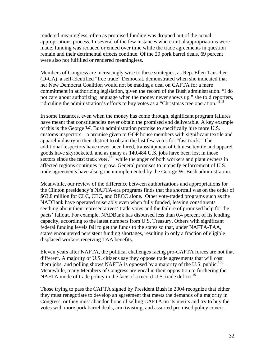rendered meaningless, often as promised funding was dropped out of the actual appropriations process. In several of the few instances where initial appropriations were made, funding was reduced or ended over time while the trade agreements in question remain and their detrimental effects continue. Of the 29 pork barrel deals, 69 percent were also not fulfilled or rendered meaningless.

Members of Congress are increasingly wise to these strategies, as Rep. Ellen Tauscher (D-CA), a self-identified "free trade" Democrat, demonstrated when she indicated that her New Democrat Coalition would not be making a deal on CAFTA for a mere commitment in authorizing legislation, given the record of the Bush administration. "I do not care about authorizing language when the money never shows up," she told reporters, ridiculing the administration's efforts to buy votes as a "Christmas tree operation."<sup>[148](#page-40-119)</sup>

In some instances, even when the money has come through, significant program failures have meant that constituencies never obtain the promised end deliverable. A key example of this is the George W. Bush administration promise to specifically hire more U.S. customs inspectors – a promise given to GOP house members with significant textile and apparel industry in their district to obtain the last few votes for "fast track." The additional inspectors have never been hired, transshipment of Chinese textile and apparel goods have skyrocketed, and as many as 140,484 U.S. jobs have been lost in those sectors since the fast track vote,  $149$  while the anger of both workers and plant owners in affected regions continues to grow. General promises to intensify enforcement of U.S. trade agreements have also gone unimplemented by the George W. Bush administration.

Meanwhile, our review of the difference between authorizations and appropriations for the Clinton presidency's NAFTA-era programs finds that the shortfall was on the order of \$63.8 million for CLC, CEC, and BECC alone. Other vote-traded programs such as the NADBank have operated miserably even when fully funded, leaving constituents seething about their representatives' trade votes and the failure of promised help for the pacts' fallout. For example, NADBank has disbursed less than 0.4 percent of its lending capacity, according to the latest numbers from U.S. Treasury. Others with significant federal funding levels fail to get the funds to the states so that, under NAFTA-TAA, states encountered persistent funding shortages, resulting in only a fraction of eligible displaced workers receiving TAA benefits.

Eleven years after NAFTA, the political challenges facing pro-CAFTA forces are not that different. A majority of U.S. citizens say they oppose trade agreements that will cost them jobs, and polling shows NAFTA is opposed by a majority of the U.S. public.<sup>150</sup> Meanwhile, many Members of Congress are vocal in their opposition to furthering the NAFTA mode of trade policy in the face of a record U.S. trade deficit.<sup>151</sup>

Those trying to pass the CAFTA signed by President Bush in 2004 recognize that either they must renegotiate to develop an agreement that meets the demands of a majority in Congress, or they must abandon hope of selling CAFTA on its merits and try to buy the votes with more pork barrel deals, arm twisting, and assorted promised policy covers.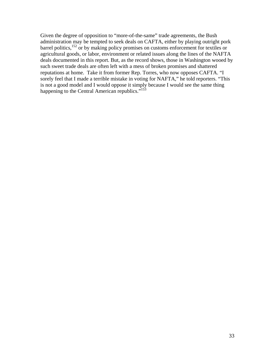Given the degree of opposition to "more-of-the-same" trade agreements, the Bush administration may be tempted to seek deals on CAFTA, either by playing outright pork barrel politics,<sup>152</sup> or by making policy promises on customs enforcement for textiles or agricultural goods, or labor, environment or related issues along the lines of the NAFTA deals documented in this report. But, as the record shows, those in Washington wooed by such sweet trade deals are often left with a mess of broken promises and shattered reputations at home. Take it from former Rep. Torres, who now opposes CAFTA. "I sorely feel that I made a terrible mistake in voting for NAFTA," he told reporters. "This is not a good model and I would oppose it simply because I would see the same thing happening to the Central American republics."<sup>153</sup>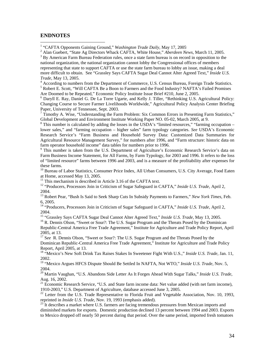#### **ENDNOTES**

 $\overline{a}$ 

<sup>1</sup> "CAFTA Opponents Gaining Ground," *Washington Trade Daily*, May 17, 2005<sup>.</sup>

<sup>2</sup> Alan Guebert, "State Ag Directors Whack CAFTA, White House," *Aberdeen News,* March 11, 2005.

<sup>3</sup> By American Farm Bureau Federation rules, once a state farm bureau is on record in opposition to the

national organization, the national organization cannot lobby the Congressional offices of members representing that state to support CAFTA or use the state farm bureau to lobby an issue, making a deal more difficult to obtain. See "Grassley Says CAFTA Sugar Deal Cannot Alter Agreed Text," *Inside U.S. Trade*, May 13, 2005.

<sup>4</sup> According to numbers from the Department of Commerce, U.S. Census Bureau, Foreign Trade Statistics.  $^5$  Bobort E. Seqt. "Will CAETA Ba a Boon to Fermane and the Eood Industry? NAETA's Foiled Promises. <sup>5</sup> Robert E. Scott, "Will CAFTA Be a Boon to Farmers and the Food Industry? NAFTA's Failed Promises Are Doomed to be Repeated," Economic Policy Institute Issue Brief #210, June 2, 2005.

<sup>6</sup> Daryll E. Ray, Daniel G. De La Torre Ugarte, and Kelly J. Tiller, "Rethinking U.S. Agricultural Policy: Changing Course to Secure Farmer Livelihoods Worldwide," Agricultural Policy Analysis Center Briefing Paper, University of Tennessee, Sept. 2003.

 $^7$  Timothy A. Wise, "Understanding the Farm Problem: Six Common Errors in Presenting Farm Statistics," Global Development and Environment Institute Working Paper NO. 05-02, March 2005, at 9. <sup>8</sup>

<sup>8</sup> This number is calculated by adding the losses in the USDA's "limited resources," "farming occupation – lower sales," and "farming occupation – higher sales" farm typology categories. *See* USDA's Economic Research Service's "Farm Business and Household Survey Data: Customized Data Summaries for Agricultural Resource Management Survey," for numbers after 1996, and "Farm structure: historic data on farm operator household income" data tables for numbers prior to 1996.<br><sup>9</sup> This number is taken from the U.S. Department of Agriculture's Economic Research Service's data on

Farm Business Income Statement, for All Farms, by Farm Typology, for 2003 and 1996. It refers to the loss of "limited resource" farms between 1996 and 2003, and is a measure of the profitability after expenses for these farms.<br><sup>10</sup> Bureau of Labor Statistics, Consumer Price Index, All Urban Consumers, U.S. City Average, Food Eaten

at Home, accessed May 13, 2005. 11 This mechanism is described in Article 3.16 of the CAFTA text. 12 "Producers, Processors Join in Criticism of Sugar Safeguard in CAFTA," *Inside U.S. Trade,* April 2,

2004. 13 Robert Pear, "Bush Is Said to Seek Sharp Cuts In Subsidy Payments to Farmers," *New York Times,* Feb.

6, 2005. 14 "Producers, Processors Join in Criticism of Sugar Safeguard in CAFTA," *Inside U.S. Trade,* April 2, 2004.<br><sup>15</sup> "Grassley Says CAFTA Sugar Deal Cannot Alter Agreed Text," *Inside U.S. Trade*, May 13, 2005.<br><sup>16</sup> R. Dennis Olson, "Sweet or Sour?: The U.S. Sugar Program and the Threats Posed by the Dominican

Republic-Central America Free Trade Agreement," Institute for Agriculture and Trade Policy Report, April

2005, at 13. 17 S*ee* R. Dennis Olson, "Sweet or Sour?: The U.S. Sugar Program and the Threats Posed by the Dominican Republic-Central America Free Trade Agreement," Institute for Agriculture and Trade Policy

Report, April 2005, at 13.<br><sup>18</sup> "Mexico's New Soft Drink Tax Raises Stakes In Sweetener Fight With U.S.," *Inside U.S. Trade*, Jan. 11,

2002. 19 "Mexico Argues HFCS Dispute Should Be Settled In NAFTA, Not WTO," *Inside U.S. Trade*, Nov. 5,

<sup>20</sup> Martin Vaughan, "U.S. Abandons Side Letter As It Forges Ahead With Sugar Talks," *Inside U.S. Trade*, Aug. 16, 2002.<br><sup>21</sup> Economic Research Service, "U.S. and State farm income data: Net value added (with net farm income),

1910-2003," U.S. Department of Agriculture, database accessed June 3, 2005.<br><sup>22</sup> Letter from the U.S. Trade Representative to Florida Fruit and Vegetable Association, Nov. 10, 1993,

reprinted in *Inside U.S. Trade*, Nov. 19, 1993 (emphasis added).<br><sup>23</sup> It describes a market where U.S. farmers are facing tremendous pressures from Mexican imports and

diminished markets for exports. Domestic production declined 13 percent between 1994 and 2003. Exports to Mexico dropped off nearly 50 percent during that period. Over the same period, imported fresh tomatoes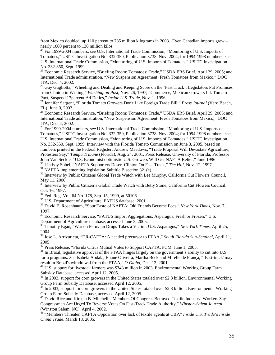from Mexico doubled, up 110 percent to 785 million kilograms in 2003. Even Canadian imports grew – nearly 1600 percent to 130 million kilos.<br><sup>24</sup> For 1999-2004 numbers, *see* U.S. International Trade Commission, "Monitoring of U.S. Imports of

Tomatoes," USITC Investigation No. 332-350, Publication 3738, Nov. 2004; for 1994-1998 numbers, *see*  U.S. International Trade Commission, "Monitoring of U.S. Imports of Tomatoes," USITC Investigation No. 332-350, Sept. 1999.<br><sup>25</sup> Economic Research Service, "Briefing Room: Tomatoes: Trade," USDA ERS Brief, April 29, 2005; and

International Trade administration, "New Suspension Agreement: Fresh Tomatoes from Mexico," DOC

ITA, Dec. 4, 2002.<br><sup>26</sup> Guy Gugliotta, "Wheeling and Dealing and Keeping Score on the 'Fast Track'; Legislators Put Promises from Clinton in Writing," *Washington Post*, Nov. 26, 1997; "Commerce, Mexican Growers Ink Tomato Pact, Suspend 17percent Ad Duties," *Inside U.S. Trade*, Nov. 1, 1996.

<sup>27</sup> Jennifer Sargent, "Florida Tomato Growers Don't Like Foreign Trade Bill," *Press Journal* (Vero Beach, FL), June 9, 2002.

<sup>28</sup> Economic Research Service, "Briefing Room: Tomatoes: Trade," USDA ERS Brief, April 29, 2005; and International Trade administration, "New Suspension Agreement: Fresh Tomatoes from Mexico," DOC ITA, Dec. 4, 2002.<br><sup>29</sup> For 1999-2004 numbers, *see* U.S. International Trade Commission, "Monitoring of U.S. Imports of

Tomatoes," USITC Investigation No. 332-350, Publication 3738, Nov. 2004; for 1994-1998 numbers, *see*  U.S. International Trade Commission, "Monitoring of U.S. Imports of Tomatoes," USITC Investigation No. 332-350, Sept. 1999. Interview with the Florida Tomato Commission on June 3, 2005, based on numbers printed in the Federal Register; Andrew Meadows, "Trade Proposal Will Devastate Agriculture, Protesters Say," *Tampa Tribune* (Florida), Aug. 24, 2001. Press Release, University of Florida, Professor

John Van Seckle, "U.S. Economist optimistic U.S. Growers Will Get NAFTA Relief," June 1996.<br><sup>30</sup> Lindsay Sobel, "NAFTA Supporters Desert Clinton On Fast-Track," *The Hill*, Nov. 12, 1997.<br><sup>31</sup> NAFTA implementing legislatio

May 11, 2000.<br><sup>33</sup> Interview by Public Citizen's Global Trade Watch with Betty Stone, California Cut Flowers Council.

Oct. 16, 1997.<br><sup>34</sup> Fed. Reg. Vol. 64 No. 178, Sep. 15, 1999, at 50106.<br><sup>35</sup> U.S. Department of Agriculture, FATUS database, 2001<br><sup>36</sup> David E. Rosenbaum, "Sour Taste of NAFTA: Old Friends Become Foes," *New York Times*, N

1997.<br><sup>37</sup> Economic Research Service, "FATUS Import Aggregations: Asparagus, Fresh or Frozen," U.S.

Department of Agriculture database, accessed June 3, 2005.<br><sup>38</sup> Timothy Egan, "War on Peruvian Drugs Takes a Victim: U.S. Asparagus," *New York Times*, April 25,

2004. 39 Jose L. Arrizurieta, "DR-CAFTA: A needed precursor to FTAA," *South Florida Sun-Sentinel*, April 11,

2005.<br><sup>40</sup> Press Release, "Florida Citrus Mutual Votes to Support CAFTA, FCM, June 1, 2005.<br><sup>41</sup> In Brazil, legislative approval of the FTAA hinges largely on the government's ability to cut into U.S. farm programs. *See* Isabela Abdala, Eliane Oliveira, Martha Beck and Mirelle de França, "'Fast-track' may

result in Brazil's withdrawal from the FTAA," *O Globo*, Dec. 12, 2001. 42 U.S. support for livestock farmers was \$343 million in 2003. Environmental Working Group Farm

Subsidy Database, accessed April 12, 2005.<br><sup>43</sup> In 2003, support for corn growers in the United States totaled over \$2.8 billion. Environmental Working

Group Farm Subsidy Database, accessed April 12, 2005.<br><sup>44</sup> In 2003, support for corn growers in the United States totaled over \$2.8 billion. Environmental Working<br>Group Farm Subsidy Database, accessed April 12, 2005.

<sup>45</sup> David Rice and Kirsten B. Mitchell, "Members Of Congress Betrayed Textile Industry, Workers Say Congressmen Are Urged To Reverse Votes On Fast-Track Trade Authority," *Winston-Salem Journal* (Winston Salem, NC), April 4, 2002. 46 "Members Threaten CAFTA Opposition over lack of textile agents at CBP," *Inside U.S. Trade*'s *Inside*

*China Trade*, March 18, 2005.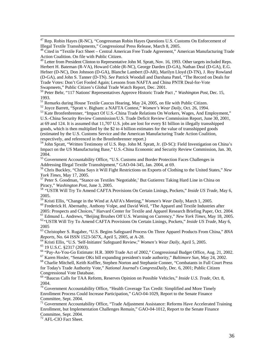<sup>47</sup> Rep. Robin Hayes (R-NC), "Congressman Robin Hayes Questions U.S. Customs On Enforcement of Illegal Textile Transshipments," Congressional Press Release, March 8, 2005.<br><sup>48</sup> Cited in "Textile Fact Sheet – Central American Free Trade Agreement," American Manufacturing Trade

Herbert H. Bateman (R-VA), Howard Coble (R-NC), George Darden (D-GA), Nathan Deal (D-GA), E.G. Hefner (D-NC), Don Johnson (D-GA), Blanche Lambert (D-AR), Marilyn Lloyd (D-TN), J. Roy Rowland (D-GA), and John S. Tanner (D-TN). *See* Patrick Woodall and Darshana Patel, "The Record on Deals for Trade Votes: Don't Get Fooled Again; Lessons from NAFTA and China PNTR Deal-for-Vote

Swapmeets," Public Citizen's Global Trade Watch Report, Dec. 2001. 50 Peter Behr, "117 Nations' Representatives Approve Historic Trade Pact ," *Washington Post*, Dec. 15, 1993.<br>
<sup>51</sup> Remarks during House Textile Caucus Hearing, May 24, 2005, on file with Public Citizen.

 $52$  Joyce Barrett, "Spratt v. Bigham: a NAFTA Contest," Women's Wear Daily, Oct. 26, 1994.<br>  $53$  Kate Bronfenbrenner, "Impact Of U.S.-China Trade Relations On Workers, Wages, And Employment,"

U.S.-China Security Review Commission/U.S. Trade Deficit Review Commission Report, June 30, 2001, at 69 and 124. It is assumed that 11,707 U.S. jobs are lost for every \$1 billion in illegally transshipped goods, which is then multiplied by the \$2 to 4 billion estimates for the value of transshipped goods (estimated by the U.S. Customs Service and the American Manufacturing Trade Action Coalition, respectively, and referenced in the Bronfenbrenner report.)<br><sup>54</sup> John Spratt, "Written Testimony of U.S. Rep. John M. Spratt, Jr. (D-SC): Field Investigation on China's

Impact on the US Manufacturing Base," U.S.-China Economic and Security Review Commission, Jan. 30,

2004.<br><sup>55</sup> Government Accountability Office, "U.S. Customs and Border Protection Faces Challenges in<br>Addressing Illegal Textile Transshipment," GAO-04-345, Jan. 2004, at 69.

<sup>56</sup> Chris Buckley, "China Says it Will Fight Restrictions on Exports of Clothing to the United States," *New York Times*, May 17, 2005.

<sup>57</sup> Peter S. Goodman, "Stance on Textiles 'Negotiable,' But Gutierrez Taking Hard Line in China on Piracy," Washington Post, June 3, 2005.

<sup>58</sup> "USTR Will Try To Amend CAFTA Provisions On Certain Linings, Pockets," *Inside US Trade*, May 6, <sup>59</sup> Kristi Ellis, "Change in the Wind at AAFA's Meeting," *Women's Wear Daily*, March 1, 2005.<br><sup>59</sup> Frederick H. Abernathy, Anthony Volpe, and David Weil, "The Apparel and Textile Industries after <sup>60</sup> Frederick H. Aberna

2005: Prospects and Choices," Harvard Center for Textile and Apparel Research Briefing Paper, Oct. 2004.<br><sup>61</sup> Edmund L. Andrews, "Beijing Brushes Off U.S. Warning on Currency," New York Times, May 18, 2005.<br><sup>62</sup> "USTR Will

2005

<sup>63</sup> Christopher S. Rugaber, "U.S. Begins Safeguard Process On Three Apparel Products From China," *BNA Reports*, No. 64 ISSN 1523-567X, April 5, 2005, at A-28.

<sup>64</sup> Kristi Ellis, "U.S. 'Self-Initiates' Safeguard Review," Women's Wear Daily, April 5, 2005.<br>
<sup>65</sup> 19 U.S.C. §2317 (2003).<br>
<sup>66</sup> "Pay-As-You-Go Estimate: H.R. 3009 Trade Act of 2002," Congressional Budget Office, Aug.

for Today's Trade Authority Vote," *National Journal's CongressDaily*, Dec. 6, 2001; Public Citizen

Congressional Vote Database.<br><sup>69</sup> "Baucus Calls for TAA Reform, Reserves Opinion on Possible Vehicles," *Inside U.S. Trade,* Oct. 8,

2004.<br><sup>70</sup> Government Accountability Office, "Health Coverage Tax Credit: Simplified and More Timely Enrollment Process Could Increase Participation," GAO-04-1029, Report to the Senate Finance Committee, Sept. 2004.<br><sup>71</sup> Government Accountability Office, "Trade Adjustment Assistance: Reforms Have Accelerated Training

Enrollment, but Implementation Challenges Remain," GAO-04-1012, Report to the Senate Finance

 $^{72}$  AFL-CIO Fact Sheet.

Action Coalition. On file with Public Citizen.<br><sup>49</sup> Letter from President Clinton to Representative John M. Spratt, Nov. 16, 1993. Other targets included Reps.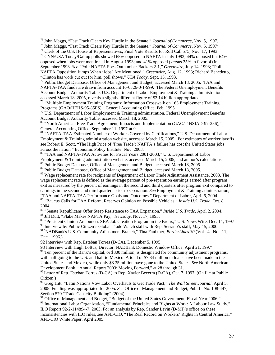73 John Maggs, "Fast Track Clears Key Hurdle in the Senate," *Journal of Commerce,* Nov. 5, 1997. 74 John Maggs, "Fast Track Clears Key Hurdle in the Senate," *Journal of Commerce*, Nov. 5, 1997.

September 1993. *See* "Poll: NAFTA Foes Outnumber Backers 2-1," *Greenwire*, July 14, 1993; "Poll:

NAFTA Opposition Jumps When 'Jobs' Are Mentioned," *Greenwire*, Aug. 12, 1993; Richard Benedetto,

"Clinton has work cut out for him, poll shows," *USA Today*, Sept. 15, 1993. 77 Public Budget Database, Office of Management and Budget, accessed March 18, 2005. TAA and NAFTA-TAA funds are drawn from account 16-0326-0-1-999. The Federal Unemployment Benefits Account Budget Authority Table, U.S. Department of Labor Employment & Training administration, accessed March 18, 2005, reveals a slightly different figure of \$3.14 billion appropriated.

 $78$  "Multiple Employment Training Programs: Information Crosswalk on 163 Employment Training Programs (GAO/HEHS-95-85FS)," General Accounting Office, Feb. 1995.

 $79$  U.S. Department of Labor Employment & Training administration, Federal Unemployment Benefits Account Budget Authority Table, accessed March 18, 2005.<br><sup>80</sup> "North American Free Trade Agreement, Impacts and Implementation (GAO/T-NSIAD-97-256),"

General Accounting Office, September 11, 1997 at 9

81 "NAFTA-TAA Estimated Number of Workers Covered by Certifications," U.S. Department of Labor Employment & Training administration website, accessed March 15, 2005. For estimates of worker layoffs see Robert E. Scott, "The High Price of 'Free Trade': NAFTA's failure has cost the United States jobs across the nation," Economic Policy Institute, Nov. 2003.<br><sup>82</sup> "TAA and NAFTA-TAA Activities for Fiscal Years 2001-2003," U.S. Department of Labor

Employment & Training administration website, accessed March 15, 2005, and author's calculations.<br><sup>83</sup> Public Budget Database, Office of Management and Budget, accessed March 18, 2005.<br><sup>84</sup> Public Budget Database, Office o

wage replacement rate is defined as the average percent of pre-separation earnings earned after program exit as measured by the percent of earnings in the second and third quarters after program exit compared to earnings in the second and third quarters prior to separation. *See* Employment & Training administration, "TAA and NAFTA-TAA Performance Goals and Outcomes," Department of Labor, April 6, 2004.

<sup>86</sup> "Baucus Calls for TAA Reform, Reserves Opinion on Possible Vehicles," *Inside U.S. Trade*, Oct. 8, 2004. 87 "Senate Republicans Offer Steep Resistance to TAA Expansion," *Inside U.S. Trade,* April 2, 2004. 88 Jill Dutt, "Flake Makes NAFTA Pay," *Newsday*, Nov. 17, 1993.

<sup>89</sup> "President Clinton Announces SBA Job Creation Program in the Bronx," U.S. News Wire, Dec. 11, 1997<br><sup>90</sup> Interview by Public Citizen's Global Trade Watch staff with Rep. Serrano's staff, May 15, 2000.

<sup>91</sup> "NADBank's U.S. Community Adjustment Branch," Tina Faulkner, *BorderLines 30* (Vol. 4, No. 11, Dec. 1996.)

92 Interview with Rep. Esteban Torres (D-CA), December 5, 1995.

93 Interview with Hugh Loftus, Director, NADBank Domestic Window Office, April 21, 1997.

<sup>94</sup> Ten percent of the Bank's capital, or \$300 million, is designated for community adjustment programs, with half going to the U.S. and half to Mexico. A total of \$7.84 million in loans have been made in the United States and Mexico, while only \$3.35 million have gone to the United States. *See* North American

Development Bank, "Annual Report 2003: Moving Forward," at 28 through 31.<br><sup>95</sup> Letter of Rep. Esteban Torres (D-CA) to Rep. Xavier Becerra (D-CA), Oct. 7, 1997. (On file at Public Citizen.)

<sup>96</sup> Greg Hitt, "Latin Nations Vow Labor Overhauls to Get Trade Pact," *The Wall Street Journal*, April 5, 2005. Funding was appropriated for 2005. *See* Office of Management and Budget, Pub. L. No. 108-447,

<sup>97</sup> Office of Management and Budget, "Budget of the United States Government, Fiscal Year 2006."

98 International Labor Organization, "Fundamental Principles and Rights at Work: A Labour Law Study," ILO Report 92-2-114894-7, 2003. For an analysis by Rep. Sander Levin (D-MI)'s office on these

inconsistencies with ILO rules, *see* AFL-CIO, "The Real Record on Workers' Rights in Central America," AFL-CIO White Paper, April 2005.

<sup>&</sup>lt;sup>75</sup> Clerk of the U.S. House of Representatives, Final Vote Results for Roll Call 575, Nov. 17, 1993.<br><sup>76</sup> CNN/USA Today/Gallup polls showed 65% opposed to NAFTA in July 1993; 44% opposed but 64%

opposed when jobs were mentioned in August 1993; and 41% opposed (versus 35% in favor of) in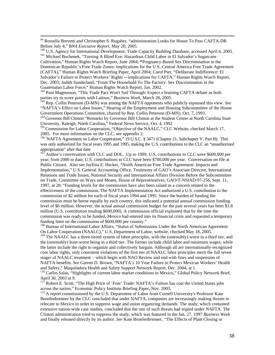<sup>99</sup> Rossella Brevetti and Christopher S. Rugaber, "administration Looks for House To Pass CAFTA-DR Before July 4," *BNA Executive Report*, May 20, 2005.

Cultivation," Human Rights Watch Report, June 2004; **"**Pregnancy-Based Sex Discrimination in the Dominican Republic's Free Trade Zones: Implications for the U.S.-Central America Free Trade Agreement (CAFTA)," Human Rights Watch Briefing Paper, April 2004; Carol Pier, "Deliberate Indifference: El Salvador's Failure to Protect Workers' Rights -- implications for CAFTA," Human Rights Watch Report, Dec. 2003; Judith Sunderland, "From The Household To The Factory: Sex Discrimination in the

Guatemalan Labor Force," Human Rights Watch Report, Jan. 2002.<br><sup>102</sup> Paul Magnusson, "This Trade Pact Won't Sail Through: Expect a bruising CAFTA debate as both parties try to score points with Latinos," *Business Week*, March 28, 2005.<br><sup>103</sup> Rep. Collin Peterson (D-MN) was among the NAFTA opponents who publicly espoused this view. *See* 

"NAFTA's Effect on Labor Issues," Hearing of the Employment and Housing Subcommittee of the House Government Operations Committee, chaired by Rep. Collin Peterson (D-MN), Oct. 7, 1993.<br><sup>104</sup> Governor Bill Clinton "Remarks by Governor Bill Clinton at the Student Center at North Carolina State

University, Raleigh, North Carolina," Federal News Service, Oct. 4, 1992.

<sup>105</sup> Commission for Labor Cooperation, "Objective of the NAALC," CLC Website, checked March 17, 2005. For more information on the CLC, see appendix 2.<br><sup>106</sup> "NAFTA Agreement on Labor Cooperation," 19 U.S.C. § 3471 [\(Chapter 21,](http://www.law.cornell.edu/uscode/html/uscode19/usc_sup_01_19_10_21.html) [Subchapter V](http://www.law.cornell.edu/uscode/html/uscode19/usc_sup_01_19_10_21_20_V.html), [Part B\)](http://www.law.cornell.edu/uscode/html/uscode19/usc_sup_01_19_10_21_20_V_40_B.html). This

was only authorized for fiscal years 1995 and 1995, making the U.S. contributions to the CLC an "unauthorized appropriation" after that date.

Author's conversation with CLC and DOL. Up to 1999, U.S. contributions to CLC were \$600,000 per year; from 2000 to date, U.S. contributions to CLC have been \$700,000 per year. Conversation on file at Public Citizen. Also see JayEtta Z. Hecker, "North American Free Trade Agreement: Impacts and Implementation," U.S. General Accounting Office, Testimony of GAO's Associate Director, International Relations and Trade Issues, National Security and International Affairs Division Before the Subcommittee on Trade, Committee on Ways and Means, House of Representatives, GAO/T-NSIAD-97-256, Sept. 11, 1997, at 28: "Funding levels for the commission have also been raised as a concern related to the effectiveness of the commission. The NAFTA Implementation Act authorized a U.S. contribution to the commission of \$2 million for each of fiscal years 1994 and 1995. Since the burden of funding the commission must be borne equally by each country, this indicated a potential annual commission funding level of \$6 million. However, the actual annual commission budget for the past several years has been \$1.8 million (U.S. contribution totaling \$600,000). A commission official explained that by the time the commission was ready to be funded, Mexico had entered into its financial crisis and requested a temporary

funding limit on the commission of \$600,000 per country."<br><sup>108</sup> Bureau of International Labor Affairs, "Status of Submissions Under the North American Agreement<br>On Labor Cooperation (NAALC)," U.S. Department of Labor, webs

 $^{109}$  The NAALC has a three-tiered system of labor principles, with the (ostensibly) worst in a third tier, and the (ostensibly) least-worst being in a third tier. The former include child labor and minimum wages; while the latter include the right to organize and collectively bargain. Although all are internationally-recognized core labor rights, only consistent violations of the first tier of NAALC labor principles merit the full seven stages of NAALC treatment – which begin with NAO Review and end with fines and suspension of NAFTA benefits. *See* Garrett D. Brown, "NAFTA's 10 Year Failure to Protect Mexican Workers' Health

and Safety," Maquiladora Health and Safety Support Network Report, Dec. 2004, at 1.<br>
<sup>110</sup> Carlos Salas, "Highlights of current labor market conditions in Mexico," Global Policy Network Brief,<br>
April 30, 2003 at 9.<br>
<sup>111</sup>

 $11^{\text{1}}$  Robert E. Scott, "The High Price of 'Free' Trade: NAFTA's Failure has cost the United States jobs across the nation," Economic Policy Institute Briefing Paper, Nov. 2003.

 $112$  A report commissioned by the U.S. Department of Labor from Cornell University's Professor Kate Bronfenbrenner by the CLC concluded that under NAFTA, companies are increasingly making threats to relocate to Mexico in order to suppress wage and union organizing demands. The study, which contained extensive nation-wide case studies, concluded that the rate of such threats had tripled under NAFTA. The Clinton administration tried to suppress the study, which was featured in the Jan. 27, 1997 *Business Week* and finally released directly by its author. *See* Kate Bronfenbrenner, *"*The Effects of Plant Closing or

<sup>100</sup> U.S. Agency for International Development, Trade Capacity Building Database, accessed April 6, 2005.<br><sup>100</sup> U.S. Agency for International Development, Trade Capacity Building Database, accessed April 6, 2005.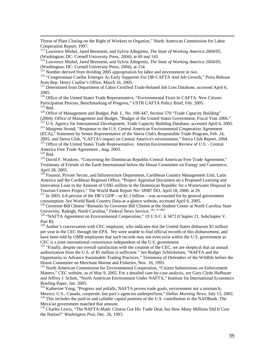Threat of Plant Closing on the Right of Workers to Organize," North American Commission for Labor

Cooperation Report, 1997. 113 Lawrence Mishel, Jared Bernstein, and Sylvia Allegretto, *The State of Working America 2004/05,* 

(Washington, DC: Cornell University Press, 2004), at 69 and 145.<br><sup>114</sup> Lawrence Mishel, Jared Bernstein, and Sylvia Allegretto, *The State of Working America 2004/05*, (Washington, DC: Cornell University Press, 2004), at 1

<sup>115</sup> Number derived from dividing 2005 appropriation for labor and environment in two.<br><sup>116</sup> "Congressman Cuellar Emerges As Early Supporter For DR-CAFTA And Job Growth," Press Release from Rep. Henry Cuellar's Office, March 16, 2005.<br><sup>117</sup> Determined from Department of Labor Certified Trade-Related Job Loss Database, accessed April 6,

2005. 118 Office of the United States Trade Representative, "Environmental Firsts In CAFTA: New Citizen-Participation Process, Benchmarking of Progress," USTR CAFTA Policy Brief, Feb. 2005.

<sup>120</sup> Office of Management and Budget, Pub. L. No. 108-447, Section 570 "Trade Capacity Building" (2004); Office of Management and Budget, "Budget of the United States Government, Fiscal Year 2006."<br><sup>121</sup> U.S. Agency for International Development, Trade Capacity Building Database, accessed April 6, 2005.<br><sup>122</sup> Margrete

(ECA)," Statement by Senior Representative of the Sierra Club's Responsible Trade Program, Feb. 24, 2005; and Sierra Club, "CAFTA's impact on Central America's environment," Sierra Club Report, 2004.<br><sup>123</sup> Office of the United States Trade Representative, Interim Environmental Review of U.S. - Central<br>America Free Trade

<sup>125</sup> David F. Waskow, "Concerning the Dominican Republic-Central American Free Trade Agreement," Testimony of Friends of the Earth International before the House Committee on Energy and Commerce,

 $126$  Finance, Private Sector, and Infrastructure Department, Caribbean Country Management Unit, Latin America and the Caribbean Regional Office, "Project Appraisal Document on a Proposed Learning and Innovation Loan in the Amount of US\$5 million to the Dominican Republic for a Wastewater Disposal in Tourism Centers Project," The World Bank Report No: 18987 DO, April 18, 2000, at 29. 127 In 2003, 6.8 percent of the DR's GDP – or \$1.1 billion – was accounted for by general government

consumption. *See* World Bank Country Data-at-a-glance website, accessed April 6, 2005.<br><sup>128</sup> Governor Bill Clinton, "Remarks by Governor Bill Clinton at the Student Center at North Carolina State

University, Raleigh, North Carolina," Federal News Service, <sup>Oct</sup>.<sup>4, 1992.</sup>

<sup>129</sup> "NAFTA Agreement on Environmental Cooperation," 19 U.S.C. § 3472 (Chapter 21, Subchapter V, Part B).<br><sup>130</sup> Author's conversation with CEC employee, who indicates that the United States disburses \$3 million

per year to the CEC through the EPA. We were unable to find official records of this disbursement, and have been told by OMB employees that such records may not even exist within the U.S. government as CEC is a joint international commission independent of the U.S. government.<br><sup>131</sup> "Finally, despite our overall satisfaction with the creation of the CEC, we are skeptical that an annual

authorization from the U.S. of \$5 million is sufficient." *See* Rodger Schlickeisen, "NAFTA and the Opportunity to Advance Sustainable Trading Practices," Testimony of Defenders of the Wildlife before the House Committee on Merchant Marine and Fisheries, Nov. 10, 1993.<br><sup>132</sup> North American Commission for Environmental Cooperation, "Citizen Submissions on Enforcement

Matters," CEC website, as of May 9, 2005. For a detailed case-by-case analysis, *see* Gary Clyde Hufbauer and Jeffrey J. Schott, "North American Environment Under NAFTA," Institute for International Economics

Briefing Paper, Jan. 2005.<br><sup>133</sup> Katherine Yung, "Progress and pitfalls; NAFTA proves trade goals, environment not a mismatch;<br>Mexico, U.S., Canada, cooperate, but pact's agencies underperform," *Dallas Morning News, July* <sup>134</sup> This includes the paid-in and callable capital portions of the U.S. contribution to the NADBank. The

Mexican government matched that amount.<br><sup>135</sup> Charles Lewis, "The NAFTA-Math: Clinton Got His Trade Deal, but How Many Millions Did It Cost the Nation?" *Washington Post,* Dec. 26, 1993.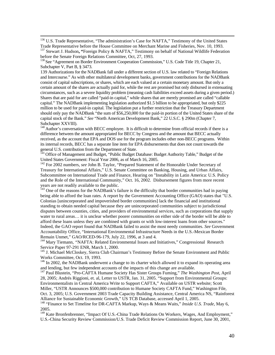<sup>136</sup> U.S. Trade Representative, "The administration's Case for NAFTA," Testimony of the United States Trade Representative before the House Committee on Merchant Marine and Fisheries, Nov. 10, 1993. 137 Stewart J. Hudson**, "**Foreign Policy & NAFTA," Testimony on behalf of National Wildlife Federation

[Subchapter V,](http://assembler.law.cornell.edu/uscode/html/uscode19/usc_sup_01_19_10_21_20_V.html) [Part B,](http://assembler.law.cornell.edu/uscode/html/uscode19/usc_sup_01_19_10_21_20_V_40_B.html) § 3473.

139 Authorizations for the NADBank fall under a different section of U.S. law related to "Foreign Relations and Intercourse." As with other multilateral development banks, government contributions for the NADBank consist of capital subscriptions, or shares, which are each valued at a certain monetary amount. But only a certain amount of the shares are actually paid for, while the rest are promised but only disbursed in extenuating circumstances, such as a severe liquidity problem (meaning cash liabilities exceed assets during a given period.) Shares that are paid for are called "paid-in capital," while shares that are merely promised are called "callable capital." The NADBank implementing legislation authorized \$1.5 billion to be appropriated, but only \$225 million to be used for paid-in capital. The legislation put a further restriction that the Treasury Department should only pay the NADBank "the sum of \$56,250,000 for the paid-in portion of the United States share of the capital stock of the Bank." *See* "North American Development Bank," 22 U.S.C. § 290m ([Chapter 7](http://www.law.cornell.edu/uscode/html/uscode22/usc_sup_01_22_10_7.html),

[Subchapter XXVIII\)](http://www.law.cornell.edu/uscode/html/uscode22/usc_sup_01_22_10_7_20_XXVIII.html).<br><sup>140</sup> Author's conversation with BECC employee. It is difficult to determine from official records if there is a difference between the amount appropriated for BECC by Congress and the amount that BECC actually received, as the account that EPA and DOS use for the program includes other non-BECC programs. Within its internal records, BECC has a separate line item for EPA disbursements that does not count towards the

general U.S. contribution from the Department of State.<br><sup>141</sup> Office of Management and Budget, "Public Budget Database: Budget Authority Table," Budget of the<br>United States Government: Fiscal Year 2006, as of March 16, 200

<sup>142</sup> For 2002 numbers, *see* John B. Taylor, "Prepared Statement of the Honorable Under Secretary of Treasury for International Affairs," U.S. Senate Committee on Banking, Housing, and Urban Affairs, Subcommittee on International Trade and Finance, Hearing on "Instability in Latin America: U.S. Policy and the Role of the International Community," Oct. 16, 2002. Disbursement figures from more recent years are not readily available to the public.<br><sup>143</sup> One of the reasons for the NADBank's failure is the difficulty that border communities had in paying

being able to afford the loan rates. A report by the Government Accounting Office (GAO) states that "U.S. Colonias [unincorporated and impoverished border communities] lack the financial and institutional standing to obtain needed capital because they are unincorporated communities subject to jurisdictional disputes between counties, cities, and providers of environmental services, such as corporations that supply water to rural areas… it is unclear whether poorer communities on either side of the border will be able to afford these loans unless they are combined with grants or with low-interest loans from other sources." Indeed, the GAO report found that NADBank failed to assist the most needy communities. *See* Government Accountability Office, "International Environmental Infrastructure Needs in the U.S.-Mexican Border

Remain Unmet," GAO/RCED-96-179, July 22, 1996, at 3 and 4.<br><sup>144</sup> Mary Tiemann, "NAFTA: Related Environmental Issues and Initiatives," Congressional Research<br>Service Paper 97-291 ENR. March 1. 2000.

<sup>145</sup> J. Michael McCloskey, Sierra Club Chairman's Testimony Before the Senate Environment and Public

Works Committee, Oct. 19, 1993.<br><sup>146</sup> In 2002, the NADBank underwent a change to its charter which allowed it to expand its operating area and lending, but few independent accounts of the impacts of this change are availab

<sup>147</sup> Paul Blustein, "Pro-CAFTA Humane Society Has Sister Groups Fuming," *The Washington Post*, *April* 28, 2005; Andrés Riggioni, et. al, Letter to USTR, Jan. 31, 2005. "Support from Environmental Groups: Environmentalists in Central America Write to Support CAFTA," Available on USTR website; Scott Miller, "USTR Announces \$500,000 contribution to Humane Society CAFTA Fund," Washington File, Oct. 3, 2005; U.S. Government 2003 Trade Capacity Building Assistance, Central America NS, "Rainforest Alliance for Sustainable Economic Growth," US TCB Database, accessed April 1, 2005.

<sup>148</sup> "Finance to Set Timeline for DR-CAFTA Markup, Ways & Means Waits," *Inside U.S. Trade*, May 6,

2005. 149 Kate Bronfenbrenner, "Impact Of U.S.-China Trade Relations On Workers, Wages, And Employment," U.S.-China Security Review Commission/U.S. Trade Deficit Review Commission Report, June 30, 2001,

before the Senate Foreign Relations Committee, Oct, 27, 1993.<br><sup>138</sup> See "Agreement on Border Environment Cooperation Commission," U.S. Code [Title 19](http://assembler.law.cornell.edu/uscode/html/uscode19/usc_sup_01_19.html), [Chapter 21](http://assembler.law.cornell.edu/uscode/html/uscode19/usc_sup_01_19_10_21.html),